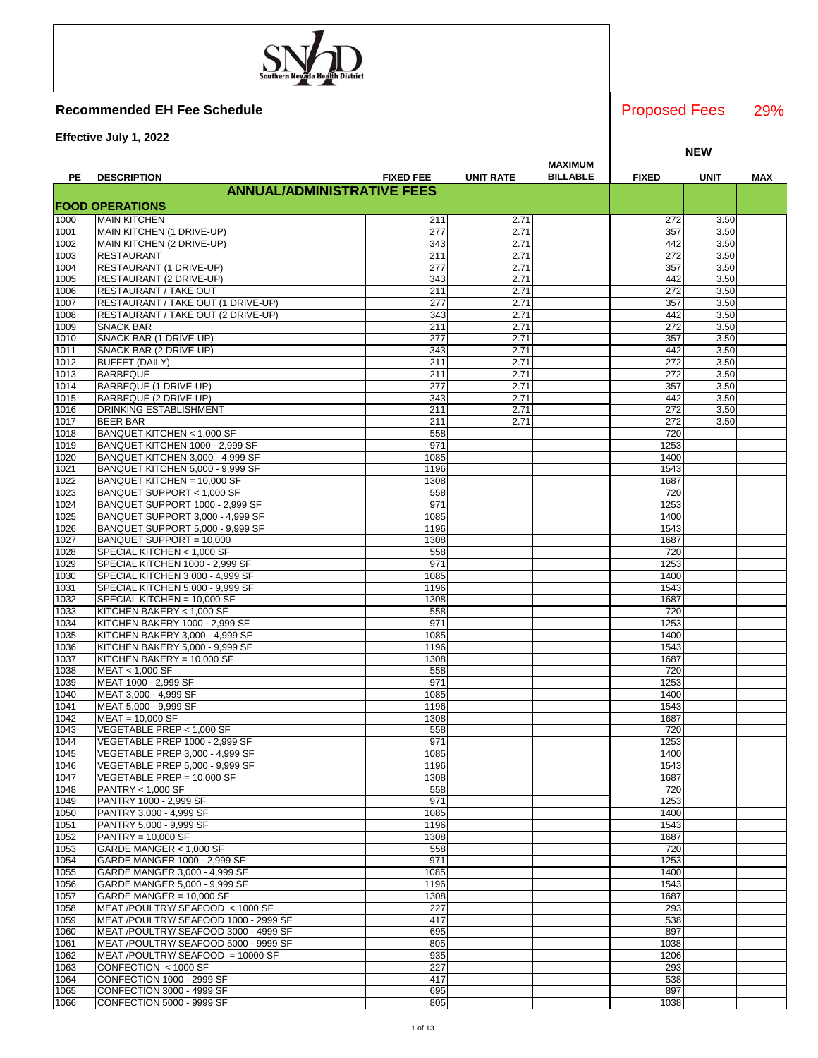**Effective July 1, 2022**

|              |                                                                          |                  |                  |                                   |              | <b>NEW</b>   |     |
|--------------|--------------------------------------------------------------------------|------------------|------------------|-----------------------------------|--------------|--------------|-----|
|              |                                                                          |                  |                  | <b>MAXIMUM</b><br><b>BILLABLE</b> |              |              |     |
| PE           | <b>DESCRIPTION</b><br><b>ANNUAL/ADMINISTRATIVE FEES</b>                  | <b>FIXED FEE</b> | <b>UNIT RATE</b> |                                   | <b>FIXED</b> | <b>UNIT</b>  | MAX |
|              | <b>FOOD OPERATIONS</b>                                                   |                  |                  |                                   |              |              |     |
| 1000         | <b>MAIN KITCHEN</b>                                                      | 211              | 2.71             |                                   | 272          | 3.50         |     |
| 1001         | MAIN KITCHEN (1 DRIVE-UP)                                                | 277              | 2.71             |                                   | 357          | 3.50         |     |
| 1002         | MAIN KITCHEN (2 DRIVE-UP)                                                | 343              | 2.71             |                                   | 442          | 3.50         |     |
| 1003         | <b>RESTAURANT</b>                                                        | 211              | 2.71             |                                   | 272          | 3.50         |     |
| 1004         | RESTAURANT (1 DRIVE-UP)                                                  | 277              | 2.71             |                                   | 357          | 3.50         |     |
| 1005         | RESTAURANT (2 DRIVE-UP)                                                  | 343              | 2.71             |                                   | 442          | 3.50         |     |
| 1006         | RESTAURANT / TAKE OUT                                                    | 211              | 2.71             |                                   | 272          | 3.50         |     |
| 1007<br>1008 | RESTAURANT / TAKE OUT (1 DRIVE-UP)<br>RESTAURANT / TAKE OUT (2 DRIVE-UP) | 277<br>343       | 2.71<br>2.71     |                                   | 357<br>442   | 3.50<br>3.50 |     |
| 1009         | <b>SNACK BAR</b>                                                         | 211              | 2.71             |                                   | 272          | 3.50         |     |
| 1010         | SNACK BAR (1 DRIVE-UP)                                                   | 277              | 2.71             |                                   | 357          | 3.50         |     |
| 1011         | SNACK BAR (2 DRIVE-UP)                                                   | 343              | 2.71             |                                   | 442          | 3.50         |     |
| 1012         | <b>BUFFET (DAILY)</b>                                                    | 211              | 2.71             |                                   | 272          | 3.50         |     |
| 1013         | <b>BARBEQUE</b>                                                          | 211              | 2.71             |                                   | 272          | 3.50         |     |
| 1014         | BARBEQUE (1 DRIVE-UP)                                                    | 277              | 2.71             |                                   | 357          | 3.50         |     |
| 1015<br>1016 | BARBEQUE (2 DRIVE-UP)<br><b>DRINKING ESTABLISHMENT</b>                   | 343<br>211       | 2.71<br>2.71     |                                   | 442<br>272   | 3.50<br>3.50 |     |
| 1017         | <b>BEER BAR</b>                                                          | 211              | 2.71             |                                   | 272          | 3.50         |     |
| 1018         | BANQUET KITCHEN < 1,000 SF                                               | 558              |                  |                                   | 720          |              |     |
| 1019         | BANQUET KITCHEN 1000 - 2,999 SF                                          | 971              |                  |                                   | 1253         |              |     |
| 1020         | BANQUET KITCHEN 3,000 - 4,999 SF                                         | 1085             |                  |                                   | 1400         |              |     |
| 1021         | BANQUET KITCHEN 5,000 - 9,999 SF                                         | 1196             |                  |                                   | 1543         |              |     |
| 1022         | BANQUET KITCHEN = 10,000 SF                                              | 1308             |                  |                                   | 1687         |              |     |
| 1023<br>1024 | BANQUET SUPPORT < 1,000 SF<br>BANQUET SUPPORT 1000 - 2,999 SF            | 558<br>971       |                  |                                   | 720<br>1253  |              |     |
| 1025         | BANQUET SUPPORT 3,000 - 4,999 SF                                         | 1085             |                  |                                   | 1400         |              |     |
| 1026         | BANQUET SUPPORT 5,000 - 9,999 SF                                         | 1196             |                  |                                   | 1543         |              |     |
| 1027         | BANQUET SUPPORT = 10,000                                                 | 1308             |                  |                                   | 1687         |              |     |
| 1028         | SPECIAL KITCHEN < 1,000 SF                                               | 558              |                  |                                   | 720          |              |     |
| 1029         | SPECIAL KITCHEN 1000 - 2,999 SF                                          | 971              |                  |                                   | 1253         |              |     |
| 1030         | SPECIAL KITCHEN 3,000 - 4,999 SF                                         | 1085             |                  |                                   | 1400         |              |     |
| 1031<br>1032 | SPECIAL KITCHEN 5,000 - 9,999 SF<br>SPECIAL KITCHEN = 10,000 SF          | 1196<br>1308     |                  |                                   | 1543<br>1687 |              |     |
| 1033         | KITCHEN BAKERY < 1,000 SF                                                | 558              |                  |                                   | 720          |              |     |
| 1034         | KITCHEN BAKERY 1000 - 2,999 SF                                           | 971              |                  |                                   | 1253         |              |     |
| 1035         | KITCHEN BAKERY 3,000 - 4,999 SF                                          | 1085             |                  |                                   | 1400         |              |     |
| 1036         | KITCHEN BAKERY 5,000 - 9,999 SF                                          | 1196             |                  |                                   | 1543         |              |     |
| 1037         | KITCHEN BAKERY = 10,000 SF                                               | 1308             |                  |                                   | 1687         |              |     |
| 1038         | MEAT < 1,000 SF                                                          | 558              |                  |                                   | 720          |              |     |
| 1039         | MEAT 1000 - 2,999 SF                                                     | 971<br>1085      |                  |                                   | 1253<br>1400 |              |     |
| 1040<br>1041 | MEAT 3,000 - 4,999 SF<br>MEAT 5,000 - 9,999 SF                           | 1196             |                  |                                   | 1543         |              |     |
| 1042         | MEAT = 10,000 SF                                                         | 1308             |                  |                                   | 1687         |              |     |
| 1043         | VEGETABLE PREP < 1,000 SF                                                | 558              |                  |                                   | 720          |              |     |
| 1044         | VEGETABLE PREP 1000 - 2,999 SF                                           | 971              |                  |                                   | 1253         |              |     |
| 1045         | VEGETABLE PREP 3,000 - 4,999 SF                                          | 1085             |                  |                                   | 1400         |              |     |
| 1046         | VEGETABLE PREP 5,000 - 9,999 SF                                          | 1196             |                  |                                   | 1543         |              |     |
| 1047         | VEGETABLE PREP = 10.000 SF<br><b>PANTRY &lt; 1,000 SF</b>                | 1308<br>558      |                  |                                   | 1687<br>720  |              |     |
| 1048<br>1049 | PANTRY 1000 - 2,999 SF                                                   | 971              |                  |                                   | 1253         |              |     |
| 1050         | PANTRY 3,000 - 4,999 SF                                                  | 1085             |                  |                                   | 1400         |              |     |
| 1051         | PANTRY 5,000 - 9,999 SF                                                  | 1196             |                  |                                   | 1543         |              |     |
| 1052         | <b>PANTRY = 10,000 SF</b>                                                | 1308             |                  |                                   | 1687         |              |     |
| 1053         | GARDE MANGER < 1,000 SF                                                  | 558              |                  |                                   | 720          |              |     |
| 1054         | GARDE MANGER 1000 - 2,999 SF                                             | 971              |                  |                                   | 1253         |              |     |
| 1055         | GARDE MANGER 3,000 - 4,999 SF                                            | 1085             |                  |                                   | 1400         |              |     |
| 1056<br>1057 | GARDE MANGER 5,000 - 9,999 SF<br>GARDE MANGER = 10,000 SF                | 1196<br>1308     |                  |                                   | 1543<br>1687 |              |     |
| 1058         | MEAT /POULTRY/ SEAFOOD < 1000 SF                                         | 227              |                  |                                   | 293          |              |     |
| 1059         | MEAT /POULTRY/ SEAFOOD 1000 - 2999 SF                                    | 417              |                  |                                   | 538          |              |     |
| 1060         | MEAT /POULTRY/ SEAFOOD 3000 - 4999 SF                                    | 695              |                  |                                   | 897          |              |     |
| 1061         | MEAT /POULTRY/ SEAFOOD 5000 - 9999 SF                                    | 805              |                  |                                   | 1038         |              |     |
| 1062         | MEAT /POULTRY/ SEAFOOD = 10000 SF                                        | 935              |                  |                                   | 1206         |              |     |
| 1063         | CONFECTION < 1000 SF                                                     | 227              |                  |                                   | 293          |              |     |
| 1064         | CONFECTION 1000 - 2999 SF<br>CONFECTION 3000 - 4999 SF                   | 417<br>695       |                  |                                   | 538<br>897   |              |     |
| 1065<br>1066 | CONFECTION 5000 - 9999 SF                                                | 805              |                  |                                   | 1038         |              |     |
|              |                                                                          |                  |                  |                                   |              |              |     |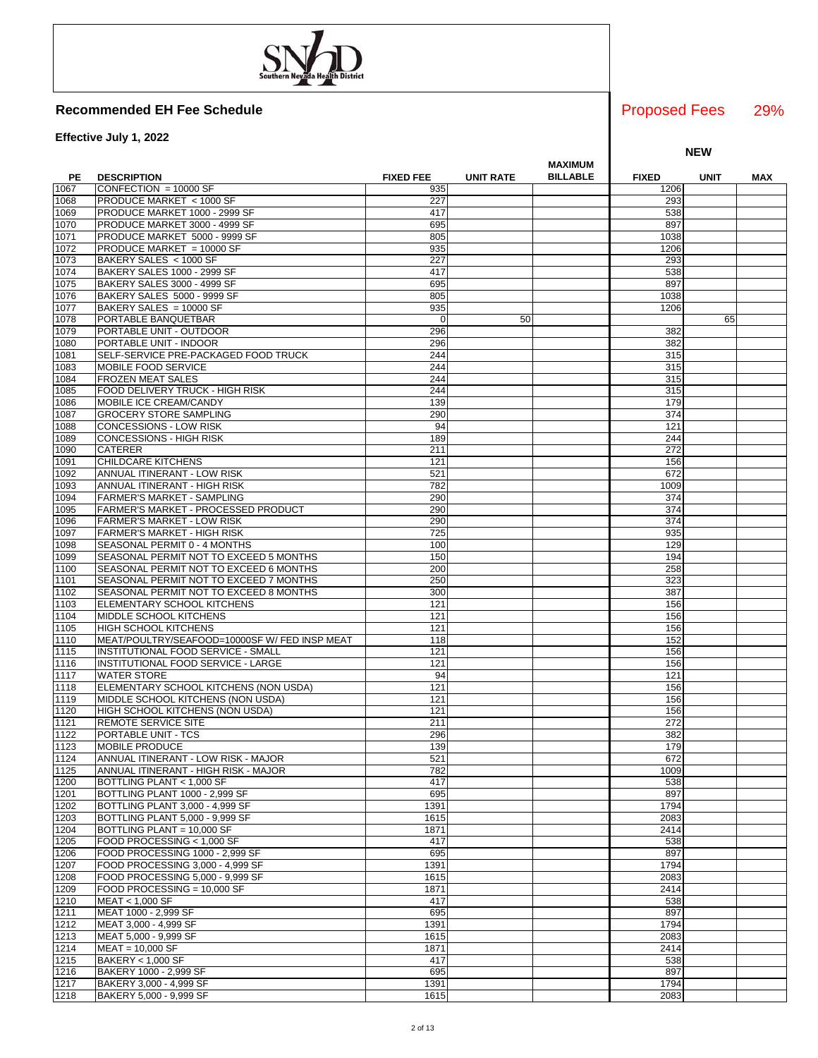**Effective July 1, 2022**

|      |                                               |                  |                  | MAXIMUM         |              |             |     |
|------|-----------------------------------------------|------------------|------------------|-----------------|--------------|-------------|-----|
| PE   | <b>DESCRIPTION</b>                            | <b>FIXED FEE</b> | <b>UNIT RATE</b> | <b>BILLABLE</b> | <b>FIXED</b> | <b>UNIT</b> | MAX |
| 1067 | CONFECTION = 10000 SF                         | 935              |                  |                 | 1206         |             |     |
| 1068 | PRODUCE MARKET < 1000 SF                      | 227              |                  |                 | 293          |             |     |
| 1069 | PRODUCE MARKET 1000 - 2999 SF                 | 417              |                  |                 | 538          |             |     |
| 1070 | PRODUCE MARKET 3000 - 4999 SF                 | 695              |                  |                 | 897          |             |     |
| 1071 | PRODUCE MARKET 5000 - 9999 SF                 | 805              |                  |                 | 1038         |             |     |
| 1072 | PRODUCE MARKET = 10000 SF                     | 935              |                  |                 | 1206         |             |     |
|      | BAKERY SALES < 1000 SF                        | 227              |                  |                 | 293          |             |     |
| 1073 |                                               |                  |                  |                 |              |             |     |
| 1074 | BAKERY SALES 1000 - 2999 SF                   | 417              |                  |                 | 538          |             |     |
| 1075 | BAKERY SALES 3000 - 4999 SF                   | 695              |                  |                 | 897          |             |     |
| 1076 | BAKERY SALES 5000 - 9999 SF                   | 805              |                  |                 | 1038         |             |     |
| 1077 | BAKERY SALES = 10000 SF                       | 935              |                  |                 | 1206         |             |     |
| 1078 | PORTABLE BANQUETBAR                           | $\mathbf 0$      | 50               |                 |              | 65          |     |
| 1079 | PORTABLE UNIT - OUTDOOR                       | 296              |                  |                 | 382          |             |     |
| 1080 | PORTABLE UNIT - INDOOR                        | 296              |                  |                 | 382          |             |     |
| 1081 | SELF-SERVICE PRE-PACKAGED FOOD TRUCK          | 244              |                  |                 | 315          |             |     |
| 1083 | MOBILE FOOD SERVICE                           | 244              |                  |                 | 315          |             |     |
| 1084 | <b>FROZEN MEAT SALES</b>                      | 244              |                  |                 | 315          |             |     |
| 1085 | FOOD DELIVERY TRUCK - HIGH RISK               | 244              |                  |                 | 315          |             |     |
|      |                                               | 139              |                  |                 | 179          |             |     |
| 1086 | MOBILE ICE CREAM/CANDY                        |                  |                  |                 |              |             |     |
| 1087 | <b>GROCERY STORE SAMPLING</b>                 | 290              |                  |                 | 374          |             |     |
| 1088 | CONCESSIONS - LOW RISK                        | 94               |                  |                 | 121          |             |     |
| 1089 | <b>CONCESSIONS - HIGH RISK</b>                | 189              |                  |                 | 244          |             |     |
| 1090 | <b>CATERER</b>                                | 211              |                  |                 | 272          |             |     |
| 1091 | CHILDCARE KITCHENS                            | 121              |                  |                 | 156          |             |     |
| 1092 | ANNUAL ITINERANT - LOW RISK                   | 521              |                  |                 | 672          |             |     |
| 1093 | ANNUAL ITINERANT - HIGH RISK                  | 782              |                  |                 | 1009         |             |     |
| 1094 | FARMER'S MARKET - SAMPLING                    | 290              |                  |                 | 374          |             |     |
| 1095 | FARMER'S MARKET - PROCESSED PRODUCT           | 290              |                  |                 | 374          |             |     |
| 1096 | FARMER'S MARKET - LOW RISK                    | 290              |                  |                 | 374          |             |     |
| 1097 | <b>FARMER'S MARKET - HIGH RISK</b>            | 725              |                  |                 | 935          |             |     |
| 1098 | SEASONAL PERMIT 0 - 4 MONTHS                  | 100              |                  |                 | 129          |             |     |
|      |                                               | 150              |                  |                 | 194          |             |     |
| 1099 | SEASONAL PERMIT NOT TO EXCEED 5 MONTHS        |                  |                  |                 |              |             |     |
| 1100 | SEASONAL PERMIT NOT TO EXCEED 6 MONTHS        | 200              |                  |                 | 258          |             |     |
| 1101 | SEASONAL PERMIT NOT TO EXCEED 7 MONTHS        | 250              |                  |                 | 323          |             |     |
| 1102 | SEASONAL PERMIT NOT TO EXCEED 8 MONTHS        | 300              |                  |                 | 387          |             |     |
| 1103 | ELEMENTARY SCHOOL KITCHENS                    | 121              |                  |                 | 156          |             |     |
| 1104 | MIDDLE SCHOOL KITCHENS                        | 121              |                  |                 | 156          |             |     |
| 1105 | <b>HIGH SCHOOL KITCHENS</b>                   | 121              |                  |                 | 156          |             |     |
| 1110 | MEAT/POULTRY/SEAFOOD=10000SF W/ FED INSP MEAT | 118              |                  |                 | 152          |             |     |
| 1115 | INSTITUTIONAL FOOD SERVICE - SMALL            | 121              |                  |                 | 156          |             |     |
| 1116 | INSTITUTIONAL FOOD SERVICE - LARGE            | 121              |                  |                 | 156          |             |     |
| 1117 | <b>WATER STORE</b>                            | 94               |                  |                 | 121          |             |     |
| 1118 | ELEMENTARY SCHOOL KITCHENS (NON USDA)         | 121              |                  |                 | 156          |             |     |
| 1119 | MIDDLE SCHOOL KITCHENS (NON USDA)             | 121              |                  |                 | 156          |             |     |
| 1120 | HIGH SCHOOL KITCHENS (NON USDA)               | 121              |                  |                 | 156          |             |     |
| 1121 | REMOTE SERVICE SITE                           | 211              |                  |                 | 272          |             |     |
|      | PORTABLE UNIT - TCS                           |                  |                  |                 |              |             |     |
| 1122 |                                               | 296              |                  |                 | 382          |             |     |
| 1123 | <b>MOBILE PRODUCE</b>                         | 139              |                  |                 | 179          |             |     |
| 1124 | ANNUAL ITINERANT - LOW RISK - MAJOR           | 521              |                  |                 | 672          |             |     |
| 1125 | ANNUAL ITINERANT - HIGH RISK - MAJOR          | 782              |                  |                 | 1009         |             |     |
| 1200 | BOTTLING PLANT < 1,000 SF                     | 417              |                  |                 | 538          |             |     |
| 1201 | BOTTLING PLANT 1000 - 2,999 SF                | 695              |                  |                 | 897          |             |     |
| 1202 | BOTTLING PLANT 3,000 - 4,999 SF               | 1391             |                  |                 | 1794         |             |     |
| 1203 | BOTTLING PLANT 5,000 - 9,999 SF               | 1615             |                  |                 | 2083         |             |     |
| 1204 | BOTTLING PLANT = 10,000 SF                    | 1871             |                  |                 | 2414         |             |     |
| 1205 | FOOD PROCESSING < 1,000 SF                    | 417              |                  |                 | 538          |             |     |
| 1206 | FOOD PROCESSING 1000 - 2,999 SF               | 695              |                  |                 | 897          |             |     |
| 1207 | FOOD PROCESSING 3,000 - 4,999 SF              | 1391             |                  |                 | 1794         |             |     |
| 1208 | FOOD PROCESSING 5.000 - 9.999 SF              | 1615             |                  |                 | 2083         |             |     |
| 1209 | FOOD PROCESSING = 10,000 SF                   | 1871             |                  |                 | 2414         |             |     |
|      |                                               |                  |                  |                 |              |             |     |
| 1210 | MEAT < 1,000 SF                               | 417              |                  |                 | 538          |             |     |
| 1211 | MEAT 1000 - 2,999 SF                          | 695              |                  |                 | 897          |             |     |
| 1212 | MEAT 3,000 - 4,999 SF                         | 1391             |                  |                 | 1794         |             |     |
| 1213 | MEAT 5,000 - 9,999 SF                         | 1615             |                  |                 | 2083         |             |     |
| 1214 | $MEAT = 10,000 SF$                            | 1871             |                  |                 | 2414         |             |     |
| 1215 | BAKERY < 1,000 SF                             | 417              |                  |                 | 538          |             |     |
| 1216 | BAKERY 1000 - 2,999 SF                        | 695              |                  |                 | 897          |             |     |
| 1217 | BAKERY 3,000 - 4,999 SF                       | 1391             |                  |                 | 1794         |             |     |
| 1218 | BAKERY 5,000 - 9,999 SF                       | 1615             |                  |                 | 2083         |             |     |
|      |                                               |                  |                  |                 |              |             |     |

29% Proposed Fees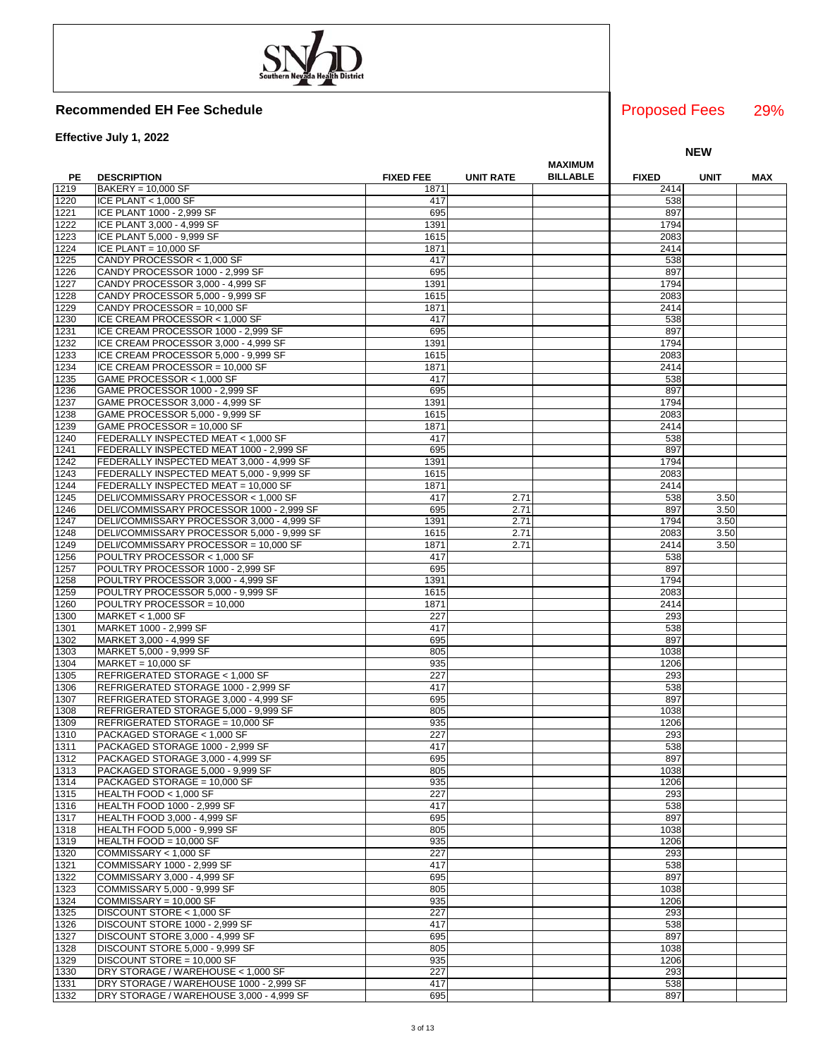**Effective July 1, 2022**

|      |                                            |                  |                  | <b>MAXIMUM</b>  |              |             |     |
|------|--------------------------------------------|------------------|------------------|-----------------|--------------|-------------|-----|
| PE   | <b>DESCRIPTION</b>                         | <b>FIXED FEE</b> | <b>UNIT RATE</b> | <b>BILLABLE</b> | <b>FIXED</b> | <b>UNIT</b> | MAX |
| 1219 | BAKERY = 10,000 SF                         | 1871             |                  |                 | 2414         |             |     |
| 1220 | ICE PLANT $<$ 1,000 SF                     | 417              |                  |                 | 538          |             |     |
| 1221 | ICE PLANT 1000 - 2,999 SF                  | 695              |                  |                 | 897          |             |     |
| 1222 |                                            | 1391             |                  |                 | 1794         |             |     |
|      | ICE PLANT 3,000 - 4,999 SF                 |                  |                  |                 |              |             |     |
| 1223 | ICE PLANT 5,000 - 9,999 SF                 | 1615             |                  |                 | 2083         |             |     |
| 1224 | ICE PLANT = $10,000$ SF                    | 1871             |                  |                 | 2414         |             |     |
| 1225 | CANDY PROCESSOR < 1,000 SF                 | 417              |                  |                 | 538          |             |     |
| 1226 | CANDY PROCESSOR 1000 - 2,999 SF            | 695              |                  |                 | 897          |             |     |
| 1227 | CANDY PROCESSOR 3,000 - 4,999 SF           | 1391             |                  |                 | 1794         |             |     |
| 1228 | CANDY PROCESSOR 5,000 - 9,999 SF           | 1615             |                  |                 | 2083         |             |     |
| 1229 | CANDY PROCESSOR = 10,000 SF                | 1871             |                  |                 | 2414         |             |     |
| 1230 | ICE CREAM PROCESSOR < 1,000 SF             | 417              |                  |                 | 538          |             |     |
| 1231 | ICE CREAM PROCESSOR 1000 - 2,999 SF        | 695              |                  |                 | 897          |             |     |
| 1232 | ICE CREAM PROCESSOR 3,000 - 4,999 SF       | 1391             |                  |                 | 1794         |             |     |
| 1233 | ICE CREAM PROCESSOR 5,000 - 9,999 SF       | 1615             |                  |                 | 2083         |             |     |
| 1234 | ICE CREAM PROCESSOR = 10,000 SF            | 1871             |                  |                 | 2414         |             |     |
|      |                                            |                  |                  |                 |              |             |     |
| 1235 | GAME PROCESSOR < 1,000 SF                  | 417              |                  |                 | 538          |             |     |
| 1236 | GAME PROCESSOR 1000 - 2,999 SF             | 695              |                  |                 | 897          |             |     |
| 1237 | GAME PROCESSOR 3,000 - 4,999 SF            | 1391             |                  |                 | 1794         |             |     |
| 1238 | GAME PROCESSOR 5,000 - 9,999 SF            | 1615             |                  |                 | 2083         |             |     |
| 1239 | GAME PROCESSOR = 10,000 SF                 | 1871             |                  |                 | 2414         |             |     |
| 1240 | FEDERALLY INSPECTED MEAT < 1,000 SF        | 417              |                  |                 | 538          |             |     |
| 1241 | FEDERALLY INSPECTED MEAT 1000 - 2,999 SF   | 695              |                  |                 | 897          |             |     |
| 1242 | FEDERALLY INSPECTED MEAT 3,000 - 4,999 SF  | 1391             |                  |                 | 1794         |             |     |
| 1243 | FEDERALLY INSPECTED MEAT 5,000 - 9,999 SF  | 1615             |                  |                 | 2083         |             |     |
| 1244 | FEDERALLY INSPECTED MEAT = 10,000 SF       | 1871             |                  |                 | 2414         |             |     |
| 1245 | DELI/COMMISSARY PROCESSOR < 1,000 SF       | 417              | 2.71             |                 | 538          | 3.50        |     |
| 1246 | DELI/COMMISSARY PROCESSOR 1000 - 2,999 SF  | 695              | 2.71             |                 | 897          | 3.50        |     |
|      | DELI/COMMISSARY PROCESSOR 3,000 - 4,999 SF |                  | 2.71             |                 | 1794         |             |     |
| 1247 |                                            | 1391             |                  |                 |              | 3.50        |     |
| 1248 | DELI/COMMISSARY PROCESSOR 5,000 - 9,999 SF | 1615             | 2.71             |                 | 2083         | 3.50        |     |
| 1249 | DELI/COMMISSARY PROCESSOR = 10,000 SF      | 1871             | 2.71             |                 | 2414         | 3.50        |     |
| 1256 | POULTRY PROCESSOR < 1,000 SF               | 417              |                  |                 | 538          |             |     |
| 1257 | POULTRY PROCESSOR 1000 - 2,999 SF          | 695              |                  |                 | 897          |             |     |
| 1258 | POULTRY PROCESSOR 3,000 - 4,999 SF         | 1391             |                  |                 | 1794         |             |     |
| 1259 | POULTRY PROCESSOR 5,000 - 9.999 SF         | 1615             |                  |                 | 2083         |             |     |
| 1260 | POULTRY PROCESSOR = 10,000                 | 1871             |                  |                 | 2414         |             |     |
| 1300 | MARKET < 1,000 SF                          | 227              |                  |                 | 293          |             |     |
| 1301 | MARKET 1000 - 2,999 SF                     | 417              |                  |                 | 538          |             |     |
| 1302 | MARKET 3,000 - 4,999 SF                    | 695              |                  |                 | 897          |             |     |
| 1303 | MARKET 5,000 - 9,999 SF                    | 805              |                  |                 | 1038         |             |     |
| 1304 | $MARKET = 10,000 SF$                       | 935              |                  |                 | 1206         |             |     |
| 1305 |                                            | 227              |                  |                 | 293          |             |     |
|      | REFRIGERATED STORAGE < 1,000 SF            |                  |                  |                 |              |             |     |
| 1306 | REFRIGERATED STORAGE 1000 - 2,999 SF       | 417              |                  |                 | 538          |             |     |
| 1307 | REFRIGERATED STORAGE 3,000 - 4,999 SF      | 695              |                  |                 | 897          |             |     |
| 1308 | REFRIGERATED STORAGE 5,000 - 9,999 SF      | 805              |                  |                 | 1038         |             |     |
| 1309 | REFRIGERATED STORAGE = 10,000 SF           | 935              |                  |                 | 1206         |             |     |
| 1310 | PACKAGED STORAGE < 1,000 SF                | 227              |                  |                 | 293          |             |     |
| 1311 | PACKAGED STORAGE 1000 - 2,999 SF           | 417              |                  |                 | 538          |             |     |
| 1312 | PACKAGED STORAGE 3.000 - 4.999 SF          | 695              |                  |                 | 897          |             |     |
| 1313 | PACKAGED STORAGE 5,000 - 9,999 SF          | 805              |                  |                 | 1038         |             |     |
| 1314 | PACKAGED STORAGE = 10,000 SF               | 935              |                  |                 | 1206         |             |     |
| 1315 | HEALTH FOOD $<$ 1,000 SF                   | 227              |                  |                 | 293          |             |     |
| 1316 | <b>HEALTH FOOD 1000 - 2,999 SF</b>         | 417              |                  |                 | 538          |             |     |
| 1317 | HEALTH FOOD 3,000 - 4,999 SF               | 695              |                  |                 | 897          |             |     |
| 1318 | HEALTH FOOD 5,000 - 9,999 SF               | 805              |                  |                 | 1038         |             |     |
|      |                                            |                  |                  |                 |              |             |     |
| 1319 | HEALTH FOOD = 10,000 SF                    | 935              |                  |                 | 1206         |             |     |
| 1320 | COMMISSARY < 1,000 SF                      | 227              |                  |                 | 293          |             |     |
| 1321 | COMMISSARY 1000 - 2,999 SF                 | 417              |                  |                 | 538          |             |     |
| 1322 | COMMISSARY 3,000 - 4,999 SF                | 695              |                  |                 | 897          |             |     |
| 1323 | COMMISSARY 5,000 - 9,999 SF                | 805              |                  |                 | 1038         |             |     |
| 1324 | COMMISSARY = 10.000 SF                     | 935              |                  |                 | 1206         |             |     |
| 1325 | DISCOUNT STORE < 1,000 SF                  | 227              |                  |                 | 293          |             |     |
| 1326 | DISCOUNT STORE 1000 - 2,999 SF             | 417              |                  |                 | 538          |             |     |
| 1327 | DISCOUNT STORE 3,000 - 4,999 SF            | 695              |                  |                 | 897          |             |     |
| 1328 | DISCOUNT STORE 5,000 - 9,999 SF            | 805              |                  |                 | 1038         |             |     |
| 1329 | DISCOUNT STORE = 10,000 SF                 | 935              |                  |                 | 1206         |             |     |
| 1330 | DRY STORAGE / WAREHOUSE < 1,000 SF         | 227              |                  |                 | 293          |             |     |
| 1331 | DRY STORAGE / WAREHOUSE 1000 - 2,999 SF    | 417              |                  |                 | 538          |             |     |
|      |                                            |                  |                  |                 |              |             |     |
| 1332 | DRY STORAGE / WAREHOUSE 3,000 - 4,999 SF   | 695              |                  |                 | 897          |             |     |

### 29% Proposed Fees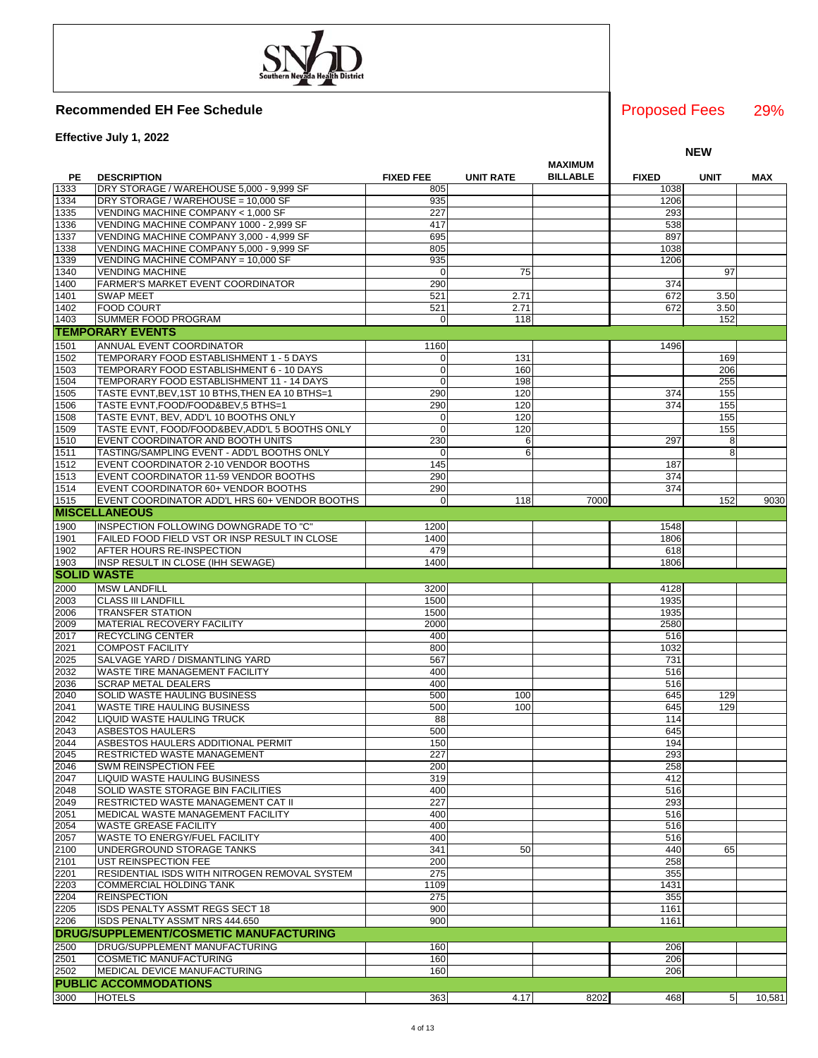**Effective July 1, 2022**

|              |                                                                                     |                  |                  | <b>MAXIMUM</b>  |              |                |        |
|--------------|-------------------------------------------------------------------------------------|------------------|------------------|-----------------|--------------|----------------|--------|
| PE           | <b>DESCRIPTION</b>                                                                  | <b>FIXED FEE</b> | <b>UNIT RATE</b> | <b>BILLABLE</b> | <b>FIXED</b> | <b>UNIT</b>    | MAX    |
| 1333         | DRY STORAGE / WAREHOUSE 5,000 - 9,999 SF                                            | 805              |                  |                 | 1038         |                |        |
| 1334         | DRY STORAGE / WAREHOUSE = 10,000 SF                                                 | 935              |                  |                 | 1206         |                |        |
| 1335         | VENDING MACHINE COMPANY < 1,000 SF                                                  | 227              |                  |                 | 293<br>538   |                |        |
| 1336<br>1337 | VENDING MACHINE COMPANY 1000 - 2,999 SF<br>VENDING MACHINE COMPANY 3,000 - 4,999 SF | 417<br>695       |                  |                 | 897          |                |        |
| 1338         | VENDING MACHINE COMPANY 5,000 - 9,999 SF                                            | 805              |                  |                 | 1038         |                |        |
| 1339         | VENDING MACHINE COMPANY = 10,000 SF                                                 | 935              |                  |                 | 1206         |                |        |
| 1340         | <b>VENDING MACHINE</b>                                                              | $\mathbf 0$      | 75               |                 |              | 97             |        |
| 1400         | FARMER'S MARKET EVENT COORDINATOR                                                   | 290              |                  |                 | 374          |                |        |
| 1401         | <b>SWAP MEET</b>                                                                    | 521              | 2.71             |                 | 672          | 3.50           |        |
| 1402         | <b>FOOD COURT</b>                                                                   | 521              | 2.71             |                 | 672          | 3.50           |        |
| 1403         | SUMMER FOOD PROGRAM                                                                 | 0                | 118              |                 |              | 152            |        |
|              | <b>TEMPORARY EVENTS</b>                                                             |                  |                  |                 |              |                |        |
| 1501         | ANNUAL EVENT COORDINATOR                                                            | 1160             |                  |                 | 1496         |                |        |
| 1502         | TEMPORARY FOOD ESTABLISHMENT 1 - 5 DAYS                                             | 0                | 131              |                 |              | 169            |        |
| 1503         | TEMPORARY FOOD ESTABLISHMENT 6 - 10 DAYS                                            | $\mathbf 0$      | 160              |                 |              | 206            |        |
| 1504         | TEMPORARY FOOD ESTABLISHMENT 11 - 14 DAYS                                           | $\Omega$         | 198              |                 |              | 255            |        |
| 1505         | TASTE EVNT, BEV, 1ST 10 BTHS, THEN EA 10 BTHS=1                                     | 290              | 120              |                 | 374          | 155            |        |
| 1506         | TASTE EVNT, FOOD/FOOD&BEV, 5 BTHS=1                                                 | 290              | 120              |                 | 374          | 155            |        |
| 1508         | TASTE EVNT, BEV, ADD'L 10 BOOTHS ONLY                                               | 0                | 120              |                 |              | 155            |        |
| 1509         | TASTE EVNT, FOOD/FOOD&BEV, ADD'L 5 BOOTHS ONLY                                      | $\mathbf 0$      | 120              |                 |              | 155            |        |
| 1510         | EVENT COORDINATOR AND BOOTH UNITS                                                   | 230              | 6                |                 | 297          | 8              |        |
| 1511         | TASTING/SAMPLING EVENT - ADD'L BOOTHS ONLY                                          | 0                | 6                |                 |              | 8              |        |
| 1512         | EVENT COORDINATOR 2-10 VENDOR BOOTHS                                                | 145              |                  |                 | 187          |                |        |
| 1513         | EVENT COORDINATOR 11-59 VENDOR BOOTHS                                               | 290              |                  |                 | 374          |                |        |
| 1514         | EVENT COORDINATOR 60+ VENDOR BOOTHS                                                 | 290              |                  |                 | 374          |                |        |
| 1515         | EVENT COORDINATOR ADD'L HRS 60+ VENDOR BOOTHS                                       | $\mathbf 0$      | 118              | 7000            |              | 152            | 9030   |
|              | <b>MISCELLANEOUS</b>                                                                |                  |                  |                 |              |                |        |
| 1900         | INSPECTION FOLLOWING DOWNGRADE TO "C"                                               | 1200             |                  |                 | 1548         |                |        |
| 1901         | FAILED FOOD FIELD VST OR INSP RESULT IN CLOSE                                       | 1400             |                  |                 | 1806         |                |        |
| 1902         | <b>AFTER HOURS RE-INSPECTION</b>                                                    | 479              |                  |                 | 618          |                |        |
| 1903         | INSP RESULT IN CLOSE (IHH SEWAGE)                                                   | 1400             |                  |                 | 1806         |                |        |
|              | <b>SOLID WASTE</b>                                                                  |                  |                  |                 |              |                |        |
| 2000         | <b>MSW LANDFILL</b>                                                                 | 3200             |                  |                 | 4128         |                |        |
| 2003         | <b>CLASS III LANDFILL</b>                                                           | 1500             |                  |                 | 1935         |                |        |
| 2006         | <b>TRANSFER STATION</b>                                                             | 1500             |                  |                 | 1935         |                |        |
| 2009<br>2017 | MATERIAL RECOVERY FACILITY                                                          | 2000             |                  |                 | 2580         |                |        |
| 2021         | RECYCLING CENTER<br><b>COMPOST FACILITY</b>                                         | 400<br>800       |                  |                 | 516<br>1032  |                |        |
| 2025         | SALVAGE YARD / DISMANTLING YARD                                                     | 567              |                  |                 | 731          |                |        |
| 2032         | WASTE TIRE MANAGEMENT FACILITY                                                      | 400              |                  |                 | 516          |                |        |
| 2036         | <b>SCRAP METAL DEALERS</b>                                                          | 400              |                  |                 | 516          |                |        |
| 2040         | SOLID WASTE HAULING BUSINESS                                                        | 500              | 100              |                 | 645          | 129            |        |
| 2041         | WASTE TIRE HAULING BUSINESS                                                         | 500              | 100              |                 | 645          | 129            |        |
| 2042         | LIQUID WASTE HAULING TRUCK                                                          | 88               |                  |                 | 114          |                |        |
| 2043         | <b>ASBESTOS HAULERS</b>                                                             | 500              |                  |                 | 645          |                |        |
| 2044         | ASBESTOS HAULERS ADDITIONAL PERMIT                                                  | 150              |                  |                 | 194          |                |        |
| 2045         | RESTRICTED WASTE MANAGEMENT                                                         | 227              |                  |                 | 293          |                |        |
| 2046         | SWM REINSPECTION FEE                                                                | 200              |                  |                 | 258          |                |        |
| 2047         | <b>LIQUID WASTE HAULING BUSINESS</b>                                                | 319              |                  |                 | 412          |                |        |
| 2048         | SOLID WASTE STORAGE BIN FACILITIES                                                  | 400              |                  |                 | 516          |                |        |
| 2049         | RESTRICTED WASTE MANAGEMENT CAT II                                                  | 227              |                  |                 | 293          |                |        |
| 2051         | MEDICAL WASTE MANAGEMENT FACILITY                                                   | 400              |                  |                 | 516          |                |        |
| 2054         | <b>WASTE GREASE FACILITY</b>                                                        | 400              |                  |                 | 516          |                |        |
| 2057         | WASTE TO ENERGY/FUEL FACILITY                                                       | 400              |                  |                 | 516          |                |        |
| 2100         | UNDERGROUND STORAGE TANKS                                                           | 341              | 50               |                 | 440          | 65             |        |
| 2101         | UST REINSPECTION FEE                                                                | 200              |                  |                 | 258          |                |        |
| 2201         | RESIDENTIAL ISDS WITH NITROGEN REMOVAL SYSTEM                                       | 275              |                  |                 | 355          |                |        |
| 2203         | <b>COMMERCIAL HOLDING TANK</b>                                                      | 1109             |                  |                 | 1431         |                |        |
| 2204<br>2205 | <b>REINSPECTION</b>                                                                 | 275<br>900       |                  |                 | 355<br>1161  |                |        |
| 2206         | ISDS PENALTY ASSMT REGS SECT 18<br>ISDS PENALTY ASSMT NRS 444.650                   | 900              |                  |                 | 1161         |                |        |
|              | <b>DRUG/SUPPLEMENT/COSMETIC MANUFACTURING</b>                                       |                  |                  |                 |              |                |        |
|              |                                                                                     |                  |                  |                 |              |                |        |
| 2500         | DRUG/SUPPLEMENT MANUFACTURING                                                       | 160              |                  |                 | 206          |                |        |
| 2501<br>2502 | <b>COSMETIC MANUFACTURING</b><br>MEDICAL DEVICE MANUFACTURING                       | 160<br>160       |                  |                 | 206<br>206   |                |        |
|              | <b>PUBLIC ACCOMMODATIONS</b>                                                        |                  |                  |                 |              |                |        |
|              |                                                                                     |                  |                  |                 |              |                |        |
| 3000         | <b>HOTELS</b>                                                                       | 363              | 4.17             | 8202            | 468          | 5 <sub>l</sub> | 10,581 |

29% Proposed Fees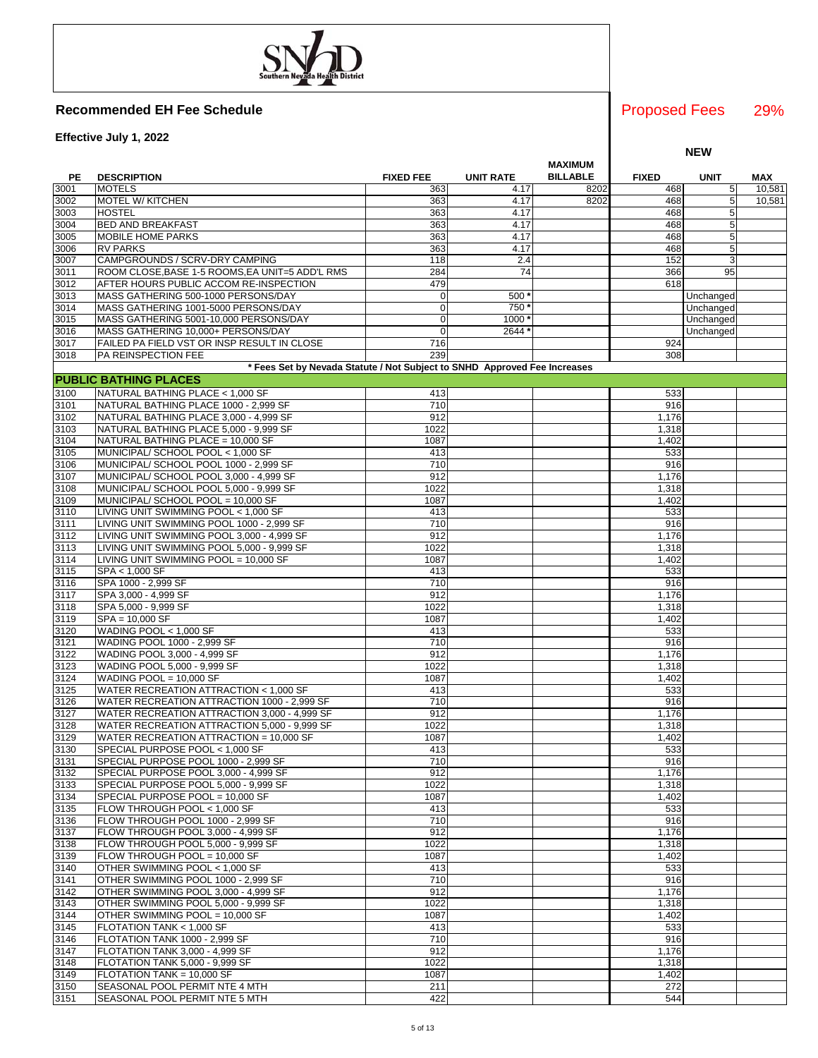**Effective July 1, 2022**

|              |                                                                           |                  |                  | <b>MAXIMUM</b>  |              |             |        |
|--------------|---------------------------------------------------------------------------|------------------|------------------|-----------------|--------------|-------------|--------|
| PE           | <b>DESCRIPTION</b>                                                        | <b>FIXED FEE</b> | <b>UNIT RATE</b> | <b>BILLABLE</b> | <b>FIXED</b> | <b>UNIT</b> | MAX    |
| 3001         | <b>MOTELS</b>                                                             | 363              | 4.17             | 8202            | 468          | 5           | 10,581 |
| 3002         | <b>MOTEL W/ KITCHEN</b>                                                   | 363              | 4.17             | 8202            | 468          | 5           | 10,581 |
| 3003         | <b>HOSTEL</b>                                                             | 363              | 4.17             |                 | 468          | 5           |        |
| 3004         | <b>BED AND BREAKFAST</b>                                                  | 363              | 4.17             |                 | 468          | 5           |        |
| 3005         | <b>MOBILE HOME PARKS</b>                                                  | 363              | 4.17             |                 | 468          | 5           |        |
| 3006         | <b>RV PARKS</b>                                                           | 363              | 4.17             |                 | 468          | 5           |        |
|              | CAMPGROUNDS / SCRV-DRY CAMPING                                            | 118              | 2.4              |                 | 152          | 3           |        |
| 3007         |                                                                           |                  |                  |                 |              |             |        |
| 3011         | ROOM CLOSE, BASE 1-5 ROOMS, EA UNIT=5 ADD'L RMS                           | 284              | 74               |                 | 366          | 95          |        |
| 3012         | AFTER HOURS PUBLIC ACCOM RE-INSPECTION                                    | 479              |                  |                 | 618          |             |        |
| 3013         | MASS GATHERING 500-1000 PERSONS/DAY                                       | 0                | 500              |                 |              | Unchanged   |        |
| 3014         | MASS GATHERING 1001-5000 PERSONS/DAY                                      | $\mathbf 0$      | 750              |                 |              | Unchanged   |        |
| 3015         | MASS GATHERING 5001-10,000 PERSONS/DAY                                    | $\mathbf 0$      | 1000             |                 |              | Unchanged   |        |
| 3016         | MASS GATHERING 10,000+ PERSONS/DAY                                        | $\mathbf 0$      | 2644             |                 |              | Unchanged   |        |
| 3017         | FAILED PA FIELD VST OR INSP RESULT IN CLOSE                               | 716              |                  |                 | 924          |             |        |
| 3018         | <b>PA REINSPECTION FEE</b>                                                | 239              |                  |                 | 308          |             |        |
|              | * Fees Set by Nevada Statute / Not Subject to SNHD Approved Fee Increases |                  |                  |                 |              |             |        |
|              | <b>PUBLIC BATHING PLACES</b>                                              |                  |                  |                 |              |             |        |
|              |                                                                           |                  |                  |                 | 533          |             |        |
| 3100         | NATURAL BATHING PLACE < 1,000 SF                                          | 413              |                  |                 |              |             |        |
| 3101         | NATURAL BATHING PLACE 1000 - 2,999 SF                                     | 710              |                  |                 | 916          |             |        |
| 3102         | NATURAL BATHING PLACE 3,000 - 4,999 SF                                    | 912              |                  |                 | 1,176        |             |        |
| 3103         | NATURAL BATHING PLACE 5,000 - 9,999 SF                                    | 1022             |                  |                 | 1,318        |             |        |
| 3104         | NATURAL BATHING PLACE = 10,000 SF                                         | 1087             |                  |                 | 1,402        |             |        |
| 3105         | MUNICIPAL/ SCHOOL POOL < 1,000 SF                                         | 413              |                  |                 | 533          |             |        |
| 3106         | MUNICIPAL/ SCHOOL POOL 1000 - 2,999 SF                                    | 710              |                  |                 | 916          |             |        |
| 3107         | MUNICIPAL/ SCHOOL POOL 3,000 - 4,999 SF                                   | 912              |                  |                 | 1,176        |             |        |
| 3108         | MUNICIPAL/ SCHOOL POOL 5,000 - 9,999 SF                                   | 1022             |                  |                 | 1,318        |             |        |
| 3109         | MUNICIPAL/ SCHOOL POOL = 10,000 SF                                        | 1087             |                  |                 | 1,402        |             |        |
| 3110         | LIVING UNIT SWIMMING POOL < 1,000 SF                                      | 413              |                  |                 | 533          |             |        |
| 3111         | LIVING UNIT SWIMMING POOL 1000 - 2,999 SF                                 | 710              |                  |                 | 916          |             |        |
| 3112         | LIVING UNIT SWIMMING POOL 3,000 - 4,999 SF                                | 912              |                  |                 | 1,176        |             |        |
| 3113         | LIVING UNIT SWIMMING POOL 5,000 - 9,999 SF                                | 1022             |                  |                 | 1,318        |             |        |
| 3114         | LIVING UNIT SWIMMING POOL = 10,000 SF                                     | 1087             |                  |                 | 1,402        |             |        |
| 3115         | SPA < 1,000 SF                                                            | 413              |                  |                 | 533          |             |        |
|              |                                                                           |                  |                  |                 |              |             |        |
| 3116         | SPA 1000 - 2,999 SF                                                       | 710              |                  |                 | 916          |             |        |
| 3117         | SPA 3,000 - 4,999 SF                                                      | 912              |                  |                 | 1,176        |             |        |
| 3118         | SPA 5,000 - 9,999 SF                                                      | 1022             |                  |                 | 1,318        |             |        |
| 3119         | $SPA = 10,000 SF$                                                         | 1087             |                  |                 | 1,402        |             |        |
| 3120         | WADING POOL < 1,000 SF                                                    | 413              |                  |                 | 533          |             |        |
| 3121         | WADING POOL 1000 - 2,999 SF                                               | 710              |                  |                 | 916          |             |        |
| 3122         | WADING POOL 3,000 - 4,999 SF                                              | 912              |                  |                 | 1,176        |             |        |
| 3123         | WADING POOL 5,000 - 9,999 SF                                              | 1022             |                  |                 | 1,318        |             |        |
| 3124         | WADING POOL = $10,000$ SF                                                 | 1087             |                  |                 | 1,402        |             |        |
| 3125         | WATER RECREATION ATTRACTION < 1,000 SF                                    | 413              |                  |                 | 533          |             |        |
| 3126         | WATER RECREATION ATTRACTION 1000 - 2,999 SF                               | 710              |                  |                 | 916          |             |        |
| 3127         | WATER RECREATION ATTRACTION 3,000 - 4,999 SF                              | 912              |                  |                 | 1,176        |             |        |
| 3128         | WATER RECREATION ATTRACTION 5,000 - 9,999 SF                              | 1022             |                  |                 | 1,318        |             |        |
| 3129         | WATER RECREATION ATTRACTION = 10,000 SF                                   | 1087             |                  |                 | 1,402        |             |        |
| 3130         | SPECIAL PURPOSE POOL < 1,000 SF                                           | 413              |                  |                 | 533          |             |        |
|              | SPECIAL PURPOSE POOL 1000 - 2,999 SF                                      | 710              |                  |                 | 916          |             |        |
| 3131<br>3132 | SPECIAL PURPOSE POOL 3,000 - 4,999 SF                                     | 912              |                  |                 | 1,176        |             |        |
|              |                                                                           |                  |                  |                 |              |             |        |
| 3133         | SPECIAL PURPOSE POOL 5,000 - 9,999 SF                                     | 1022             |                  |                 | 1,318        |             |        |
| 3134         | SPECIAL PURPOSE POOL = 10,000 SF                                          | 1087             |                  |                 | 1,402        |             |        |
| 3135         | FLOW THROUGH POOL < 1,000 SF                                              | 413              |                  |                 | 533          |             |        |
| 3136         | FLOW THROUGH POOL 1000 - 2,999 SF                                         | 710              |                  |                 | 916          |             |        |
| 3137         | FLOW THROUGH POOL 3,000 - 4,999 SF                                        | 912              |                  |                 | 1,176        |             |        |
| 3138         | FLOW THROUGH POOL 5,000 - 9,999 SF                                        | 1022             |                  |                 | 1,318        |             |        |
| 3139         | FLOW THROUGH POOL = 10,000 SF                                             | 1087             |                  |                 | 1,402        |             |        |
| 3140         | OTHER SWIMMING POOL < 1,000 SF                                            | 413              |                  |                 | 533          |             |        |
| 3141         | OTHER SWIMMING POOL 1000 - 2,999 SF                                       | 710              |                  |                 | 916          |             |        |
| 3142         | OTHER SWIMMING POOL 3,000 - 4,999 SF                                      | 912              |                  |                 | 1,176        |             |        |
| 3143         | OTHER SWIMMING POOL 5,000 - 9,999 SF                                      | 1022             |                  |                 | 1,318        |             |        |
| 3144         | OTHER SWIMMING POOL = 10,000 SF                                           | 1087             |                  |                 | 1,402        |             |        |
| 3145         | FLOTATION TANK < 1,000 SF                                                 | 413              |                  |                 | 533          |             |        |
| 3146         | FLOTATION TANK 1000 - 2,999 SF                                            | 710              |                  |                 | 916          |             |        |
| 3147         | FLOTATION TANK 3,000 - 4,999 SF                                           | $\overline{912}$ |                  |                 | 1,176        |             |        |
| 3148         | FLOTATION TANK 5,000 - 9,999 SF                                           | 1022             |                  |                 | 1,318        |             |        |
| 3149         | FLOTATION TANK = 10,000 SF                                                | 1087             |                  |                 | 1,402        |             |        |
| 3150         | SEASONAL POOL PERMIT NTE 4 MTH                                            | 211              |                  |                 | 272          |             |        |
| 3151         |                                                                           |                  |                  |                 | 544          |             |        |
|              | SEASONAL POOL PERMIT NTE 5 MTH                                            | 422              |                  |                 |              |             |        |

### 29% Proposed Fees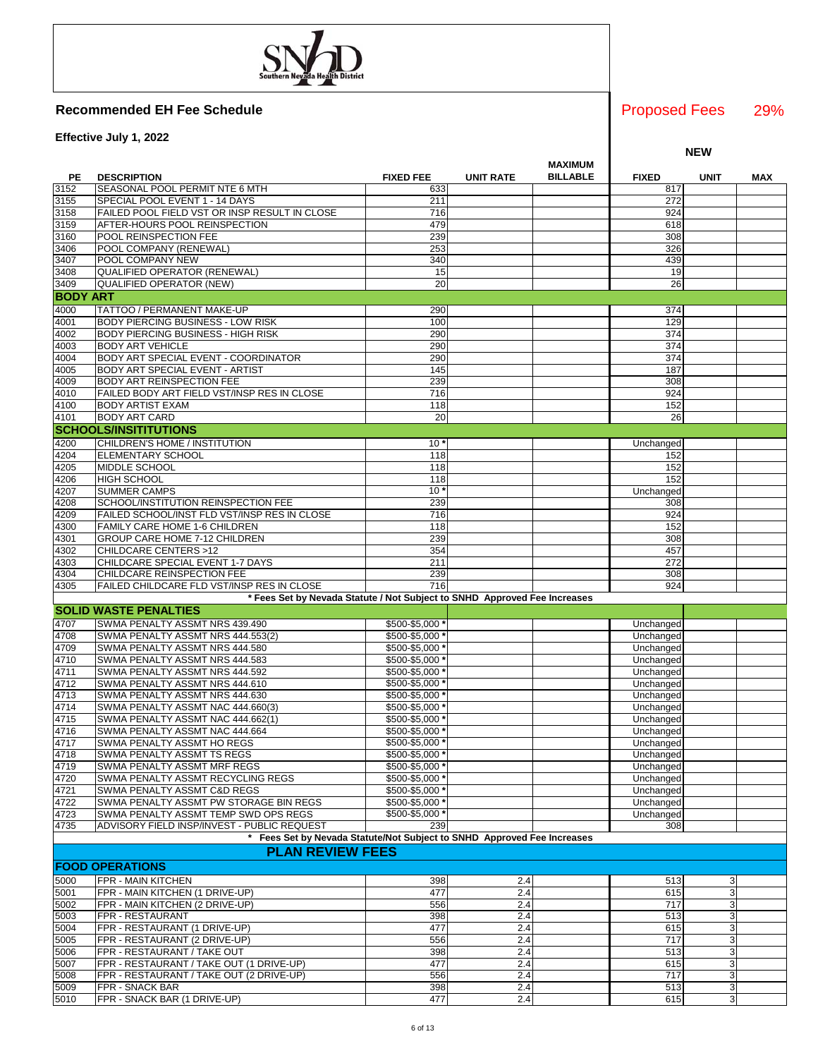**Effective July 1, 2022**

|                 |                                                                           |                                  |                  | <b>MAXIMUM</b>  |                        |              |     |
|-----------------|---------------------------------------------------------------------------|----------------------------------|------------------|-----------------|------------------------|--------------|-----|
| PE              | <b>DESCRIPTION</b>                                                        | <b>FIXED FEE</b>                 | <b>UNIT RATE</b> | <b>BILLABLE</b> | <b>FIXED</b>           | <b>UNIT</b>  | MAX |
| 3152            | SEASONAL POOL PERMIT NTE 6 MTH                                            | 633                              |                  |                 | 817                    |              |     |
| 3155            | SPECIAL POOL EVENT 1 - 14 DAYS                                            | 211                              |                  |                 | 272                    |              |     |
| 3158            | FAILED POOL FIELD VST OR INSP RESULT IN CLOSE                             | 716                              |                  |                 | 924                    |              |     |
| 3159            | AFTER-HOURS POOL REINSPECTION                                             | 479                              |                  |                 | 618                    |              |     |
| 3160<br>3406    | POOL REINSPECTION FEE<br>POOL COMPANY (RENEWAL)                           | 239<br>253                       |                  |                 | 308<br>326             |              |     |
| 3407            | POOL COMPANY NEW                                                          | 340                              |                  |                 | 439                    |              |     |
| 3408            | <b>QUALIFIED OPERATOR (RENEWAL)</b>                                       | 15                               |                  |                 | 19                     |              |     |
| 3409            | <b>QUALIFIED OPERATOR (NEW)</b>                                           | 20                               |                  |                 | 26                     |              |     |
| <b>BODY ART</b> |                                                                           |                                  |                  |                 |                        |              |     |
| 4000            | TATTOO / PERMANENT MAKE-UP                                                | 290                              |                  |                 | 374                    |              |     |
| 4001            | <b>BODY PIERCING BUSINESS - LOW RISK</b>                                  | 100                              |                  |                 | 129                    |              |     |
| 4002            | <b>BODY PIERCING BUSINESS - HIGH RISK</b>                                 | 290                              |                  |                 | 374                    |              |     |
| 4003            | <b>BODY ART VEHICLE</b>                                                   | 290                              |                  |                 | 374                    |              |     |
| 4004            | <b>BODY ART SPECIAL EVENT - COORDINATOR</b>                               | 290                              |                  |                 | 374                    |              |     |
| 4005            | <b>BODY ART SPECIAL EVENT - ARTIST</b>                                    | 145                              |                  |                 | 187                    |              |     |
| 4009            | BODY ART REINSPECTION FEE                                                 | 239                              |                  |                 | 308                    |              |     |
| 4010            | FAILED BODY ART FIELD VST/INSP RES IN CLOSE                               | 716                              |                  |                 | 924                    |              |     |
| 4100            | <b>BODY ARTIST EXAM</b>                                                   | 118                              |                  |                 | 152                    |              |     |
| 4101            | <b>BODY ART CARD</b>                                                      | 20                               |                  |                 | 26                     |              |     |
|                 | <b>SCHOOLS/INSITITUTIONS</b>                                              |                                  |                  |                 |                        |              |     |
| 4200            | CHILDREN'S HOME / INSTITUTION                                             | $10*$                            |                  |                 | Unchanged              |              |     |
| 4204            | <b>ELEMENTARY SCHOOL</b>                                                  | 118                              |                  |                 | 152                    |              |     |
| 4205<br>4206    | MIDDLE SCHOOL<br><b>HIGH SCHOOL</b>                                       | 118<br>118                       |                  |                 | 152<br>152             |              |     |
| 4207            | <b>SUMMER CAMPS</b>                                                       | 10 <sup>1</sup>                  |                  |                 | Unchanged              |              |     |
| 4208            | SCHOOL/INSTITUTION REINSPECTION FEE                                       | 239                              |                  |                 | 308                    |              |     |
| 4209            | FAILED SCHOOL/INST FLD VST/INSP RES IN CLOSE                              | 716                              |                  |                 | 924                    |              |     |
| 4300            | FAMILY CARE HOME 1-6 CHILDREN                                             | 118                              |                  |                 | 152                    |              |     |
| 4301            | GROUP CARE HOME 7-12 CHILDREN                                             | 239                              |                  |                 | 308                    |              |     |
| 4302            | CHILDCARE CENTERS >12                                                     | 354                              |                  |                 | 457                    |              |     |
| 4303            | CHILDCARE SPECIAL EVENT 1-7 DAYS                                          | 211                              |                  |                 | 272                    |              |     |
| 4304            | CHILDCARE REINSPECTION FEE                                                | 239                              |                  |                 | 308                    |              |     |
| 4305            | FAILED CHILDCARE FLD VST/INSP RES IN CLOSE                                | 716                              |                  |                 | 924                    |              |     |
|                 | * Fees Set by Nevada Statute / Not Subject to SNHD Approved Fee Increases |                                  |                  |                 |                        |              |     |
|                 | <b>SOLID WASTE PENALTIES</b>                                              |                                  |                  |                 |                        |              |     |
| 4707            | SWMA PENALTY ASSMT NRS 439.490                                            | \$500-\$5,000                    |                  |                 | Unchanged              |              |     |
| 4708<br>4709    | SWMA PENALTY ASSMT NRS 444.553(2)<br>SWMA PENALTY ASSMT NRS 444.580       | \$500-\$5,000<br>\$500-\$5,000   |                  |                 | Unchanged<br>Unchanged |              |     |
| 4710            | SWMA PENALTY ASSMT NRS 444.583                                            | \$500-\$5,000                    |                  |                 | Unchanged              |              |     |
| 4711            | SWMA PENALTY ASSMT NRS 444.592                                            | \$500-\$5,000                    |                  |                 | Unchanged              |              |     |
| 4712            | SWMA PENALTY ASSMT NRS 444.610                                            | \$500-\$5,000                    |                  |                 | Unchanged              |              |     |
| 4713            | SWMA PENALTY ASSMT NRS 444.630                                            | \$500-\$5,000                    |                  |                 | Unchanged              |              |     |
| 4714            | SWMA PENALTY ASSMT NAC 444.660(3)                                         | \$500-\$5,000                    |                  |                 | Unchanged              |              |     |
| 4715            | SWMA PENALTY ASSMT NAC 444.662(1)                                         | \$500-\$5,000                    |                  |                 | Unchanged              |              |     |
| 4716            | SWMA PENALTY ASSMT NAC 444.664                                            | \$500-\$5,000                    |                  |                 | Unchanged              |              |     |
| 4717            | SWMA PENALTY ASSMT HO REGS                                                | \$500-\$5,000                    |                  |                 | Unchanged              |              |     |
| 4718            | SWMA PENALTY ASSMT TS REGS                                                | \$500-\$5,000 *                  |                  |                 | Unchanged              |              |     |
| 4719            | SWMA PENALTY ASSMT MRF REGS                                               | \$500-\$5,000 *                  |                  |                 | Unchanged              |              |     |
| 4720<br>4721    | SWMA PENALTY ASSMT RECYCLING REGS<br>SWMA PENALTY ASSMT C&D REGS          | \$500-\$5,000 *<br>\$500-\$5,000 |                  |                 | Unchanged<br>Unchanged |              |     |
| 4722            | SWMA PENALTY ASSMT PW STORAGE BIN REGS                                    | \$500-\$5,000 *                  |                  |                 | Unchanged              |              |     |
| 4723            | SWMA PENALTY ASSMT TEMP SWD OPS REGS                                      | \$500-\$5,000 *                  |                  |                 | Unchanged              |              |     |
| 4735            | ADVISORY FIELD INSP/INVEST - PUBLIC REQUEST                               | 239                              |                  |                 | 308                    |              |     |
|                 | Fees Set by Nevada Statute/Not Subject to SNHD Approved Fee Increases     |                                  |                  |                 |                        |              |     |
|                 | <b>PLAN REVIEW FEES</b>                                                   |                                  |                  |                 |                        |              |     |
|                 | <b>FOOD OPERATIONS</b>                                                    |                                  |                  |                 |                        |              |     |
| 5000            | <b>FPR - MAIN KITCHEN</b>                                                 | 398                              | 2.4              |                 | 513                    | 3            |     |
| 5001            | FPR - MAIN KITCHEN (1 DRIVE-UP)                                           | 477                              | 2.4              |                 | 615                    | $\mathbf{3}$ |     |
| 5002            | FPR - MAIN KITCHEN (2 DRIVE-UP)                                           | 556                              | 2.4              |                 | 717                    | 3            |     |
| 5003            | FPR - RESTAURANT                                                          | 398                              | 2.4              |                 | 513                    | 3            |     |
| 5004            | FPR - RESTAURANT (1 DRIVE-UP)                                             | 477                              | 2.4              |                 | 615                    | $\mathbf{3}$ |     |
| 5005            | FPR - RESTAURANT (2 DRIVE-UP)                                             | 556                              | 2.4              |                 | 717                    | $\mathbf{3}$ |     |
| 5006            | FPR - RESTAURANT / TAKE OUT                                               | 398                              | 2.4              |                 | 513                    | 3            |     |
| 5007            | FPR - RESTAURANT / TAKE OUT (1 DRIVE-UP)                                  | 477                              | 2.4              |                 | 615                    | 3            |     |
| 5008            | FPR - RESTAURANT / TAKE OUT (2 DRIVE-UP)                                  | 556                              | 2.4              |                 | 717                    | 3            |     |
| 5009            | FPR - SNACK BAR                                                           | 398                              | 2.4              |                 | 513                    | $\mathbf{3}$ |     |

5010 FPR - SNACK BAR (1 DRIVE-UP) 477 2.4 615 3

6 of 13

29% Proposed Fees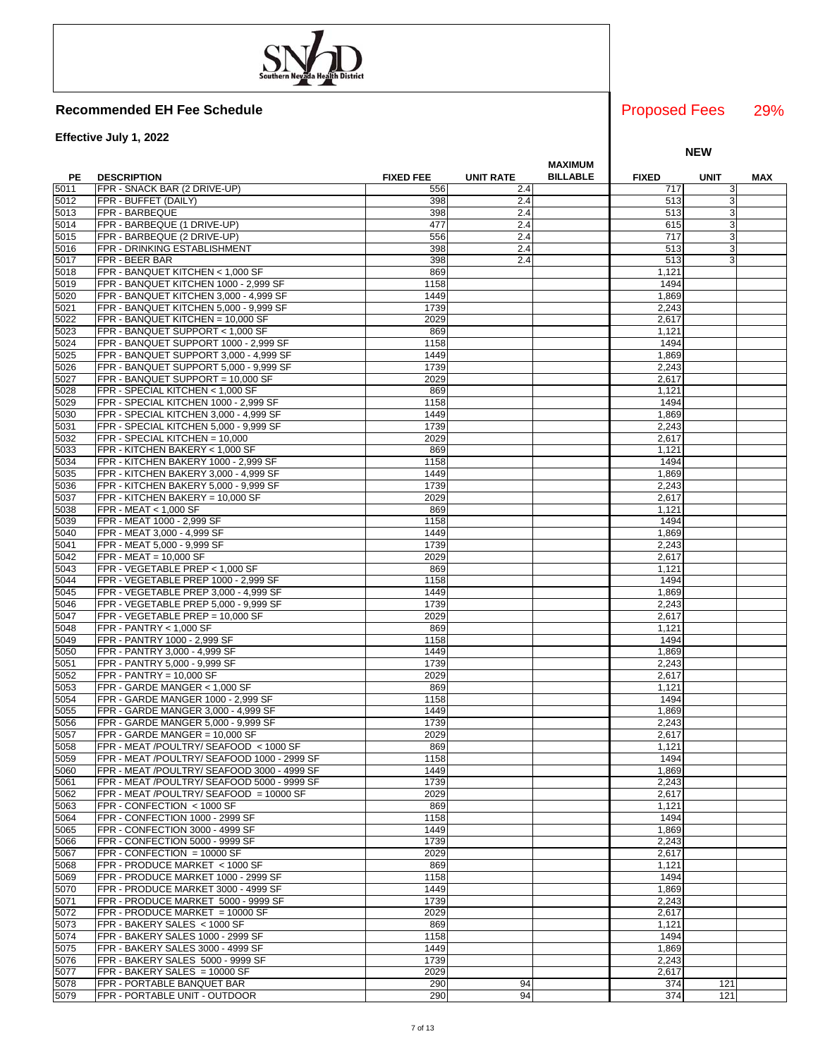**Effective July 1, 2022**

|      |                                                                            |                  |                  | <b>MAXIMUM</b>  |               |             |     |
|------|----------------------------------------------------------------------------|------------------|------------------|-----------------|---------------|-------------|-----|
| PE   | <b>DESCRIPTION</b>                                                         | <b>FIXED FEE</b> | <b>UNIT RATE</b> | <b>BILLABLE</b> | <b>FIXED</b>  | <b>UNIT</b> | MAX |
| 5011 | FPR - SNACK BAR (2 DRIVE-UP)                                               | 556              | 2.4              |                 | 717           | 3           |     |
| 5012 | FPR - BUFFET (DAILY)                                                       | 398              | 2.4              |                 | 513           | 3           |     |
| 5013 | FPR - BARBEQUE                                                             | 398              | 2.4              |                 | 513           | 3           |     |
| 5014 | FPR - BARBEQUE (1 DRIVE-UP)                                                | 477              | 2.4              |                 | 615           | 3           |     |
| 5015 | FPR - BARBEQUE (2 DRIVE-UP)                                                | 556              | 2.4              |                 | 717           | 3           |     |
| 5016 | FPR - DRINKING ESTABLISHMENT                                               | 398              | 2.4              |                 | 513           | 3           |     |
| 5017 | FPR - BEER BAR                                                             | 398              | 2.4              |                 | 513           | 3           |     |
| 5018 | FPR - BANQUET KITCHEN < 1,000 SF                                           | 869              |                  |                 | 1,121         |             |     |
| 5019 | FPR - BANQUET KITCHEN 1000 - 2,999 SF                                      | 1158             |                  |                 | 1494          |             |     |
| 5020 | FPR - BANQUET KITCHEN 3,000 - 4,999 SF                                     | 1449             |                  |                 | 1,869         |             |     |
| 5021 | FPR - BANQUET KITCHEN 5,000 - 9,999 SF                                     | 1739             |                  |                 | 2,243         |             |     |
| 5022 | FPR - BANQUET KITCHEN = 10,000 SF                                          | 2029             |                  |                 | 2,617         |             |     |
| 5023 | FPR - BANQUET SUPPORT < 1,000 SF                                           | 869              |                  |                 | 1,121         |             |     |
| 5024 | FPR - BANQUET SUPPORT 1000 - 2,999 SF                                      | 1158             |                  |                 | 1494          |             |     |
| 5025 | FPR - BANQUET SUPPORT 3,000 - 4,999 SF                                     | 1449             |                  |                 | 1,869         |             |     |
| 5026 | FPR - BANQUET SUPPORT 5,000 - 9,999 SF                                     | 1739             |                  |                 | 2,243         |             |     |
| 5027 | FPR - BANQUET SUPPORT = 10,000 SF                                          | 2029             |                  |                 | 2,617         |             |     |
| 5028 | FPR - SPECIAL KITCHEN < 1,000 SF                                           | 869              |                  |                 | 1,121         |             |     |
| 5029 | FPR - SPECIAL KITCHEN 1000 - 2,999 SF                                      | 1158             |                  |                 | 1494          |             |     |
| 5030 | FPR - SPECIAL KITCHEN 3,000 - 4,999 SF                                     | 1449             |                  |                 |               |             |     |
|      |                                                                            |                  |                  |                 | 1,869         |             |     |
| 5031 | FPR - SPECIAL KITCHEN 5,000 - 9,999 SF                                     | 1739             |                  |                 | 2,243         |             |     |
| 5032 | FPR - SPECIAL KITCHEN = 10,000                                             | 2029             |                  |                 | 2,617         |             |     |
| 5033 | FPR - KITCHEN BAKERY < 1,000 SF                                            | 869              |                  |                 | 1,121         |             |     |
| 5034 | FPR - KITCHEN BAKERY 1000 - 2,999 SF                                       | 1158             |                  |                 | 1494          |             |     |
| 5035 | FPR - KITCHEN BAKERY 3,000 - 4,999 SF                                      | 1449             |                  |                 | 1,869         |             |     |
| 5036 | FPR - KITCHEN BAKERY 5,000 - 9,999 SF                                      | 1739             |                  |                 | 2,243         |             |     |
| 5037 | FPR - KITCHEN BAKERY = 10,000 SF                                           | 2029             |                  |                 | 2,617         |             |     |
| 5038 | FPR - MEAT < 1,000 SF                                                      | 869              |                  |                 | 1,121         |             |     |
| 5039 | FPR - MEAT 1000 - 2,999 SF                                                 | 1158             |                  |                 | 1494          |             |     |
| 5040 | FPR - MEAT 3,000 - 4,999 SF                                                | 1449             |                  |                 | 1,869         |             |     |
| 5041 | FPR - MEAT 5,000 - 9,999 SF                                                | 1739             |                  |                 | 2,243         |             |     |
| 5042 | $FPR - MEAT = 10,000 SF$                                                   | 2029             |                  |                 | 2,617         |             |     |
| 5043 | FPR - VEGETABLE PREP < 1,000 SF                                            | 869              |                  |                 | 1,121         |             |     |
| 5044 | FPR - VEGETABLE PREP 1000 - 2,999 SF                                       | 1158             |                  |                 | 1494          |             |     |
| 5045 | FPR - VEGETABLE PREP 3,000 - 4,999 SF                                      | 1449             |                  |                 | 1,869         |             |     |
| 5046 | FPR - VEGETABLE PREP 5,000 - 9,999 SF                                      | 1739             |                  |                 | 2,243         |             |     |
| 5047 | FPR - VEGETABLE PREP = 10,000 SF                                           | 2029             |                  |                 | 2,617         |             |     |
| 5048 | FPR - PANTRY < 1,000 SF                                                    | 869              |                  |                 | 1,121         |             |     |
| 5049 | FPR - PANTRY 1000 - 2,999 SF                                               | 1158             |                  |                 | 1494          |             |     |
| 5050 | FPR - PANTRY 3,000 - 4,999 SF                                              | 1449             |                  |                 | 1,869         |             |     |
| 5051 | FPR - PANTRY 5,000 - 9,999 SF                                              | 1739             |                  |                 | 2,243         |             |     |
| 5052 | $FPR - PANTRY = 10,000 SF$                                                 | 2029             |                  |                 | 2,617         |             |     |
| 5053 | FPR - GARDE MANGER < 1,000 SF                                              | 869              |                  |                 | 1,121         |             |     |
| 5054 | FPR - GARDE MANGER 1000 - 2,999 SF                                         | 1158             |                  |                 | 1494          |             |     |
| 5055 | FPR - GARDE MANGER 3,000 - 4,999 SF                                        | 1449             |                  |                 | 1,869         |             |     |
| 5056 | FPR - GARDE MANGER 5,000 - 9,999 SF                                        | 1739             |                  |                 | 2,243         |             |     |
| 5057 | FPR - GARDE MANGER = 10,000 SF                                             | 2029             |                  |                 | 2,617         |             |     |
| 5058 | FPR - MEAT /POULTRY/ SEAFOOD < 1000 SF                                     | 869              |                  |                 | 1,121         |             |     |
| 5059 | FPR - MEAT /POULTRY/ SEAFOOD 1000 - 2999 SF                                | 1158             |                  |                 | 1494          |             |     |
| 5060 | FPR - MEAT /POULTRY/ SEAFOOD 3000 - 4999 SF                                | 1449             |                  |                 | 1,869         |             |     |
| 5061 | FPR - MEAT /POULTRY/ SEAFOOD 5000 - 9999 SF                                | 1739             |                  |                 | 2,243         |             |     |
| 5062 | FPR - MEAT /POULTRY/ SEAFOOD = 10000 SF                                    | 2029             |                  |                 | 2,617         |             |     |
| 5063 | FPR - CONFECTION < 1000 SF                                                 | 869              |                  |                 | 1,121         |             |     |
| 5064 | FPR - CONFECTION 1000 - 2999 SF                                            | 1158             |                  |                 | 1494          |             |     |
| 5065 | FPR - CONFECTION 3000 - 4999 SF                                            | 1449             |                  |                 | 1,869         |             |     |
| 5066 | FPR - CONFECTION 5000 - 9999 SF                                            | 1739             |                  |                 | 2,243         |             |     |
| 5067 | $FPR - CONFECTION = 10000 SF$                                              | 2029             |                  |                 | 2,617         |             |     |
| 5068 | FPR - PRODUCE MARKET < 1000 SF                                             | 869              |                  |                 | 1,121         |             |     |
| 5069 |                                                                            |                  |                  |                 |               |             |     |
|      | FPR - PRODUCE MARKET 1000 - 2999 SF<br>FPR - PRODUCE MARKET 3000 - 4999 SF | 1158<br>1449     |                  |                 | 1494<br>1,869 |             |     |
| 5070 |                                                                            |                  |                  |                 |               |             |     |
| 5071 | FPR - PRODUCE MARKET 5000 - 9999 SF                                        | 1739             |                  |                 | 2,243         |             |     |
| 5072 | FPR - PRODUCE MARKET = 10000 SF                                            | 2029             |                  |                 | 2,617         |             |     |
| 5073 | FPR - BAKERY SALES < 1000 SF                                               | 869              |                  |                 | 1,121         |             |     |
| 5074 | FPR - BAKERY SALES 1000 - 2999 SF                                          | 1158             |                  |                 | 1494          |             |     |
| 5075 | FPR - BAKERY SALES 3000 - 4999 SF                                          | 1449             |                  |                 | 1,869         |             |     |
| 5076 | FPR - BAKERY SALES 5000 - 9999 SF                                          | 1739             |                  |                 | 2,243         |             |     |
| 5077 | FPR - BAKERY SALES = 10000 SF                                              | 2029             |                  |                 | 2,617         |             |     |
| 5078 | FPR - PORTABLE BANQUET BAR                                                 | 290              | 94               |                 | 374           | 121         |     |
| 5079 | FPR - PORTABLE UNIT - OUTDOOR                                              | 290              | 94               |                 | 374           | 121         |     |

### 29% Proposed Fees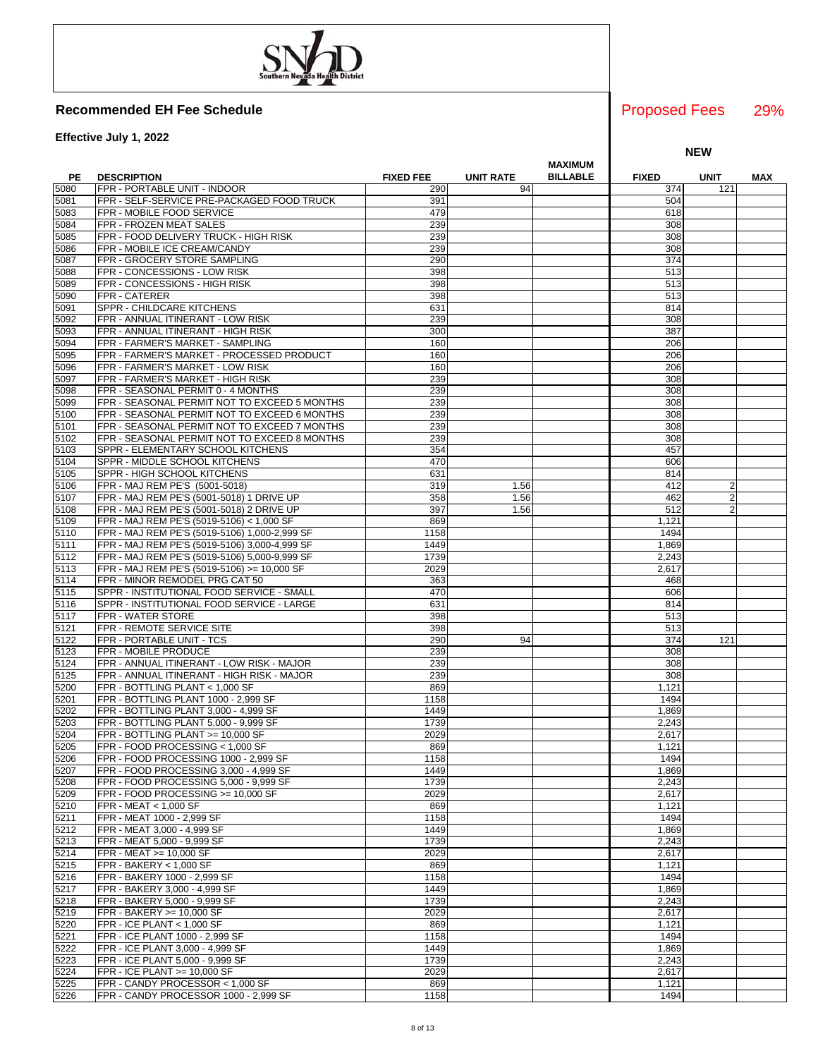**Effective July 1, 2022**

|      |                                               |                  |                  | <b>MAXIMUM</b>  |              |                |     |
|------|-----------------------------------------------|------------------|------------------|-----------------|--------------|----------------|-----|
| PE   | <b>DESCRIPTION</b>                            | <b>FIXED FEE</b> | <b>UNIT RATE</b> | <b>BILLABLE</b> | <b>FIXED</b> | <b>UNIT</b>    | MAX |
| 5080 | FPR - PORTABLE UNIT - INDOOR                  | 290              | 94               |                 | 374          | 121            |     |
| 5081 | FPR - SELF-SERVICE PRE-PACKAGED FOOD TRUCK    | 391              |                  |                 | 504          |                |     |
| 5083 | FPR - MOBILE FOOD SERVICE                     | 479              |                  |                 | 618          |                |     |
| 5084 | FPR - FROZEN MEAT SALES                       | 239              |                  |                 | 308          |                |     |
| 5085 | FPR - FOOD DELIVERY TRUCK - HIGH RISK         | 239              |                  |                 | 308          |                |     |
| 5086 | FPR - MOBILE ICE CREAM/CANDY                  | 239              |                  |                 | 308          |                |     |
| 5087 | FPR - GROCERY STORE SAMPLING                  | 290              |                  |                 | 374          |                |     |
| 5088 | FPR - CONCESSIONS - LOW RISK                  | 398              |                  |                 | 513          |                |     |
| 5089 | FPR - CONCESSIONS - HIGH RISK                 | 398              |                  |                 | 513          |                |     |
| 5090 | FPR - CATERER                                 | 398              |                  |                 | 513          |                |     |
| 5091 | SPPR - CHILDCARE KITCHENS                     | 631              |                  |                 | 814          |                |     |
| 5092 | FPR - ANNUAL ITINERANT - LOW RISK             | 239              |                  |                 | 308          |                |     |
| 5093 | FPR - ANNUAL ITINERANT - HIGH RISK            | 300              |                  |                 | 387          |                |     |
| 5094 | FPR - FARMER'S MARKET - SAMPLING              | 160              |                  |                 | 206          |                |     |
| 5095 | FPR - FARMER'S MARKET - PROCESSED PRODUCT     | 160              |                  |                 | 206          |                |     |
| 5096 | FPR - FARMER'S MARKET - LOW RISK              | 160              |                  |                 | 206          |                |     |
| 5097 | FPR - FARMER'S MARKET - HIGH RISK             | 239              |                  |                 | 308          |                |     |
| 5098 | FPR - SEASONAL PERMIT 0 - 4 MONTHS            | 239              |                  |                 | 308          |                |     |
| 5099 | FPR - SEASONAL PERMIT NOT TO EXCEED 5 MONTHS  | 239              |                  |                 | 308          |                |     |
| 5100 | FPR - SEASONAL PERMIT NOT TO EXCEED 6 MONTHS  | 239              |                  |                 | 308          |                |     |
| 5101 | FPR - SEASONAL PERMIT NOT TO EXCEED 7 MONTHS  | 239              |                  |                 | 308          |                |     |
| 5102 | FPR - SEASONAL PERMIT NOT TO EXCEED 8 MONTHS  | 239              |                  |                 | 308          |                |     |
| 5103 | SPPR - ELEMENTARY SCHOOL KITCHENS             | 354              |                  |                 | 457          |                |     |
| 5104 | SPPR - MIDDLE SCHOOL KITCHENS                 | 470              |                  |                 | 606          |                |     |
| 5105 | SPPR - HIGH SCHOOL KITCHENS                   | 631              |                  |                 | 814          |                |     |
| 5106 | FPR - MAJ REM PE'S (5001-5018)                | 319              | 1.56             |                 | 412          | 2              |     |
| 5107 | FPR - MAJ REM PE'S (5001-5018) 1 DRIVE UP     | 358              | 1.56             |                 | 462          | $\overline{2}$ |     |
| 5108 | FPR - MAJ REM PE'S (5001-5018) 2 DRIVE UP     | 397              | 1.56             |                 | 512          | $\overline{2}$ |     |
| 5109 | FPR - MAJ REM PE'S (5019-5106) < 1,000 SF     | 869              |                  |                 | 1,121        |                |     |
| 5110 | FPR - MAJ REM PE'S (5019-5106) 1,000-2,999 SF | 1158             |                  |                 | 1494         |                |     |
| 5111 | FPR - MAJ REM PE'S (5019-5106) 3,000-4,999 SF | 1449             |                  |                 | 1,869        |                |     |
| 5112 | FPR - MAJ REM PE'S (5019-5106) 5,000-9,999 SF | 1739             |                  |                 | 2,243        |                |     |
| 5113 | FPR - MAJ REM PE'S (5019-5106) >= 10,000 SF   | 2029             |                  |                 | 2,617        |                |     |
| 5114 | FPR - MINOR REMODEL PRG CAT 50                | 363              |                  |                 | 468          |                |     |
| 5115 | SPPR - INSTITUTIONAL FOOD SERVICE - SMALL     | 470              |                  |                 | 606          |                |     |
| 5116 | SPPR - INSTITUTIONAL FOOD SERVICE - LARGE     | 631              |                  |                 | 814          |                |     |
| 5117 | FPR - WATER STORE                             | 398              |                  |                 | 513          |                |     |
| 5121 | FPR - REMOTE SERVICE SITE                     | 398              |                  |                 | 513          |                |     |
| 5122 | FPR - PORTABLE UNIT - TCS                     | 290              | 94               |                 | 374          | 121            |     |
| 5123 | FPR - MOBILE PRODUCE                          | 239              |                  |                 | 308          |                |     |
| 5124 | FPR - ANNUAL ITINERANT - LOW RISK - MAJOR     | 239              |                  |                 | 308          |                |     |
| 5125 | FPR - ANNUAL ITINERANT - HIGH RISK - MAJOR    | 239              |                  |                 | 308          |                |     |
| 5200 | FPR - BOTTLING PLANT < 1,000 SF               | 869              |                  |                 | 1,121        |                |     |
| 5201 | FPR - BOTTLING PLANT 1000 - 2,999 SF          | 1158             |                  |                 | 1494         |                |     |
| 5202 | FPR - BOTTLING PLANT 3,000 - 4,999 SF         | 1449             |                  |                 | 1,869        |                |     |
| 5203 | FPR - BOTTLING PLANT 5,000 - 9,999 SF         | 1739             |                  |                 | 2,243        |                |     |
| 5204 | FPR - BOTTLING PLANT >= 10,000 SF             | 2029             |                  |                 | 2,617        |                |     |
| 5205 | FPR - FOOD PROCESSING < 1,000 SF              | 869              |                  |                 | 1,121        |                |     |
| 5206 | FPR - FOOD PROCESSING 1000 - 2,999 SF         | 1158             |                  |                 | 1494         |                |     |
| 5207 | FPR - FOOD PROCESSING 3,000 - 4,999 SF        | 1449             |                  |                 | 1,869        |                |     |
| 5208 | FPR - FOOD PROCESSING 5,000 - 9,999 SF        | 1739             |                  |                 | 2,243        |                |     |
| 5209 | FPR - FOOD PROCESSING >= 10.000 SF            | 2029             |                  |                 | 2,617        |                |     |
| 5210 | FPR - MEAT < 1,000 SF                         | 869              |                  |                 | 1,121        |                |     |
| 5211 | FPR - MEAT 1000 - 2,999 SF                    | 1158             |                  |                 | 1494         |                |     |
| 5212 | FPR - MEAT 3,000 - 4,999 SF                   | 1449             |                  |                 | 1,869        |                |     |
| 5213 | FPR - MEAT 5,000 - 9,999 SF                   | 1739             |                  |                 | 2,243        |                |     |
| 5214 | FPR - MEAT >= 10,000 SF                       | 2029             |                  |                 | 2,617        |                |     |
| 5215 | FPR - BAKERY < 1,000 SF                       | 869              |                  |                 | 1,121        |                |     |
| 5216 | FPR - BAKERY 1000 - 2,999 SF                  | 1158             |                  |                 | 1494         |                |     |
| 5217 | FPR - BAKERY 3,000 - 4,999 SF                 | 1449             |                  |                 | 1,869        |                |     |
| 5218 | FPR - BAKERY 5,000 - 9,999 SF                 | 1739             |                  |                 | 2,243        |                |     |
| 5219 | FPR - BAKERY >= 10,000 SF                     | 2029             |                  |                 | 2,617        |                |     |
| 5220 | FPR - ICE PLANT < $1,000$ SF                  | 869              |                  |                 | 1,121        |                |     |
| 5221 | FPR - ICE PLANT 1000 - 2,999 SF               | 1158             |                  |                 | 1494         |                |     |
| 5222 | FPR - ICE PLANT 3,000 - 4,999 SF              | 1449             |                  |                 | 1,869        |                |     |
| 5223 | FPR - ICE PLANT 5,000 - 9,999 SF              | 1739             |                  |                 | 2,243        |                |     |
| 5224 | FPR - ICE PLANT >= 10,000 SF                  | 2029             |                  |                 | 2,617        |                |     |
| 5225 | FPR - CANDY PROCESSOR < 1,000 SF              | 869              |                  |                 | 1,121        |                |     |
| 5226 | FPR - CANDY PROCESSOR 1000 - 2,999 SF         | 1158             |                  |                 | 1494         |                |     |

### 29% Proposed Fees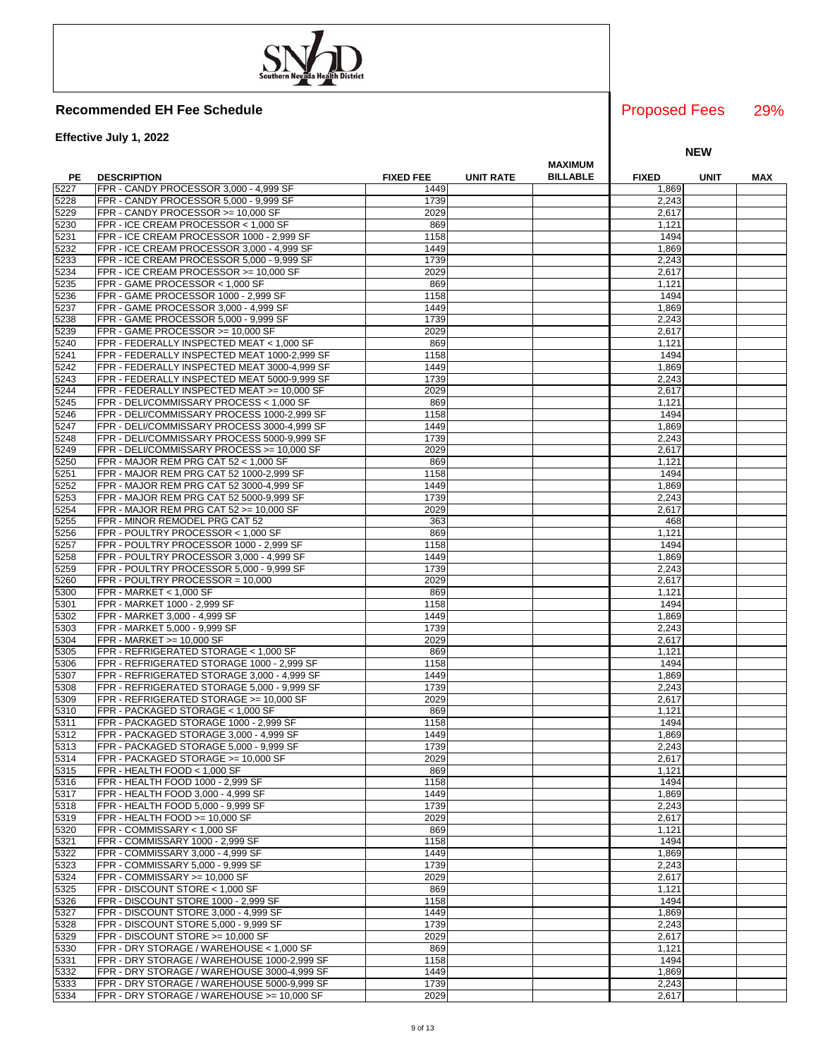**Effective July 1, 2022**

|      |                                                |                  | <b>MAXIMUM</b>                      |              |             |     |
|------|------------------------------------------------|------------------|-------------------------------------|--------------|-------------|-----|
| PE   | <b>DESCRIPTION</b>                             | <b>FIXED FEE</b> | <b>BILLABLE</b><br><b>UNIT RATE</b> | <b>FIXED</b> | <b>UNIT</b> | MAX |
| 5227 | FPR - CANDY PROCESSOR 3,000 - 4,999 SF         | 1449             |                                     | 1,869        |             |     |
|      |                                                |                  |                                     |              |             |     |
| 5228 | FPR - CANDY PROCESSOR 5,000 - 9,999 SF         | 1739             |                                     | 2,243        |             |     |
| 5229 | FPR - CANDY PROCESSOR >= 10,000 SF             | 2029             |                                     | 2,617        |             |     |
| 5230 | FPR - ICE CREAM PROCESSOR < 1,000 SF           | 869              |                                     | 1,121        |             |     |
| 5231 | FPR - ICE CREAM PROCESSOR 1000 - 2,999 SF      | 1158             |                                     | 1494         |             |     |
| 5232 | FPR - ICE CREAM PROCESSOR 3,000 - 4,999 SF     | 1449             |                                     | 1,869        |             |     |
| 5233 | FPR - ICE CREAM PROCESSOR 5,000 - 9,999 SF     | 1739             |                                     | 2,243        |             |     |
|      |                                                |                  |                                     |              |             |     |
| 5234 | FPR - ICE CREAM PROCESSOR >= 10,000 SF         | 2029             |                                     | 2,617        |             |     |
| 5235 | FPR - GAME PROCESSOR < 1,000 SF                | 869              |                                     | 1,121        |             |     |
| 5236 | FPR - GAME PROCESSOR 1000 - 2,999 SF           | 1158             |                                     | 1494         |             |     |
| 5237 | FPR - GAME PROCESSOR 3,000 - 4,999 SF          | 1449             |                                     | 1,869        |             |     |
| 5238 | FPR - GAME PROCESSOR 5,000 - 9,999 SF          | 1739             |                                     | 2,243        |             |     |
|      |                                                |                  |                                     |              |             |     |
| 5239 | FPR - GAME PROCESSOR >= 10,000 SF              | 2029             |                                     | 2,617        |             |     |
| 5240 | FPR - FEDERALLY INSPECTED MEAT < 1,000 SF      | 869              |                                     | 1,121        |             |     |
| 5241 | FPR - FEDERALLY INSPECTED MEAT 1000-2,999 SF   | 1158             |                                     | 1494         |             |     |
| 5242 | FPR - FEDERALLY INSPECTED MEAT 3000-4,999 SF   | 1449             |                                     | 1,869        |             |     |
| 5243 | FPR - FEDERALLY INSPECTED MEAT 5000-9,999 SF   | 1739             |                                     | 2,243        |             |     |
| 5244 | FPR - FEDERALLY INSPECTED MEAT >= 10,000 SF    | 2029             |                                     | 2,617        |             |     |
|      |                                                |                  |                                     |              |             |     |
| 5245 | FPR - DELI/COMMISSARY PROCESS < 1,000 SF       | 869              |                                     | 1,121        |             |     |
| 5246 | FPR - DELI/COMMISSARY PROCESS 1000-2,999 SF    | 1158             |                                     | 1494         |             |     |
| 5247 | FPR - DELI/COMMISSARY PROCESS 3000-4,999 SF    | 1449             |                                     | 1,869        |             |     |
| 5248 | FPR - DELI/COMMISSARY PROCESS 5000-9,999 SF    | 1739             |                                     | 2,243        |             |     |
| 5249 | FPR - DELI/COMMISSARY PROCESS >= 10,000 SF     | 2029             |                                     | 2,617        |             |     |
|      |                                                |                  |                                     | 1,121        |             |     |
| 5250 | FPR - MAJOR REM PRG CAT 52 < 1,000 SF          | 869              |                                     |              |             |     |
| 5251 | FPR - MAJOR REM PRG CAT 52 1000-2,999 SF       | 1158             |                                     | 1494         |             |     |
| 5252 | FPR - MAJOR REM PRG CAT 52 3000-4,999 SF       | 1449             |                                     | 1,869        |             |     |
| 5253 | FPR - MAJOR REM PRG CAT 52 5000-9,999 SF       | 1739             |                                     | 2,243        |             |     |
| 5254 | FPR - MAJOR REM PRG CAT 52 >= 10,000 SF        | 2029             |                                     | 2,617        |             |     |
| 5255 | FPR - MINOR REMODEL PRG CAT 52                 | 363              |                                     | 468          |             |     |
| 5256 | FPR - POULTRY PROCESSOR < 1,000 SF             | 869              |                                     | 1,121        |             |     |
|      |                                                |                  |                                     |              |             |     |
| 5257 | FPR - POULTRY PROCESSOR 1000 - 2,999 SF        | 1158             |                                     | 1494         |             |     |
| 5258 | FPR - POULTRY PROCESSOR 3,000 - 4,999 SF       | 1449             |                                     | 1,869        |             |     |
| 5259 | FPR - POULTRY PROCESSOR 5,000 - 9,999 SF       | 1739             |                                     | 2,243        |             |     |
| 5260 | FPR - POULTRY PROCESSOR = 10,000               | 2029             |                                     | 2,617        |             |     |
| 5300 | $FPR - MARKET < 1,000 SF$                      | 869              |                                     | 1,121        |             |     |
|      | FPR - MARKET 1000 - 2,999 SF                   |                  |                                     |              |             |     |
| 5301 |                                                | 1158             |                                     | 1494         |             |     |
| 5302 | FPR - MARKET 3,000 - 4,999 SF                  | 1449             |                                     | 1,869        |             |     |
| 5303 | FPR - MARKET 5,000 - 9,999 SF                  | 1739             |                                     | 2,243        |             |     |
| 5304 | FPR - MARKET >= 10,000 SF                      | 2029             |                                     | 2,617        |             |     |
| 5305 | FPR - REFRIGERATED STORAGE < 1,000 SF          | 869              |                                     | 1,121        |             |     |
| 5306 | FPR - REFRIGERATED STORAGE 1000 - 2,999 SF     | 1158             |                                     | 1494         |             |     |
|      |                                                |                  |                                     |              |             |     |
| 5307 | FPR - REFRIGERATED STORAGE 3,000 - 4,999 SF    | 1449             |                                     | 1,869        |             |     |
| 5308 | FPR - REFRIGERATED STORAGE 5,000 - 9,999 SF    | 1739             |                                     | 2,243        |             |     |
| 5309 | FPR - REFRIGERATED STORAGE >= 10,000 SF        | 2029             |                                     | 2,617        |             |     |
| 5310 | FPR - PACKAGED STORAGE < 1,000 SF              | 869              |                                     | 1,121        |             |     |
| 5311 | FPR - PACKAGED STORAGE 1000 - 2,999 SF         | 1158             |                                     | 1494         |             |     |
| 5312 | FPR - PACKAGED STORAGE 3,000 - 4,999 SF        | 1449             |                                     | 1,869        |             |     |
|      |                                                |                  |                                     |              |             |     |
| 5313 | FPR - PACKAGED STORAGE 5,000 - 9,999 SF        | 1739             |                                     | 2,243        |             |     |
| 5314 | <b>IFPR - PACKAGED STORAGE &gt;= 10.000 SF</b> | 2029             |                                     | 2.617        |             |     |
| 5315 | FPR - HEALTH FOOD < 1,000 SF                   | 869              |                                     | 1,121        |             |     |
| 5316 | FPR - HEALTH FOOD 1000 - 2,999 SF              | 1158             |                                     | 1494         |             |     |
| 5317 | FPR - HEALTH FOOD 3,000 - 4,999 SF             | 1449             |                                     | 1,869        |             |     |
| 5318 | FPR - HEALTH FOOD 5,000 - 9,999 SF             | 1739             |                                     | 2,243        |             |     |
|      |                                                |                  |                                     |              |             |     |
| 5319 | FPR - HEALTH FOOD >= 10,000 SF                 | 2029             |                                     | 2,617        |             |     |
| 5320 | FPR - COMMISSARY < 1,000 SF                    | 869              |                                     | 1,121        |             |     |
| 5321 | FPR - COMMISSARY 1000 - 2,999 SF               | 1158             |                                     | 1494         |             |     |
| 5322 | FPR - COMMISSARY 3,000 - 4,999 SF              | 1449             |                                     | 1,869        |             |     |
| 5323 | FPR - COMMISSARY 5,000 - 9,999 SF              | 1739             |                                     | 2,243        |             |     |
| 5324 | FPR - COMMISSARY >= 10.000 SF                  | 2029             |                                     | 2,617        |             |     |
|      |                                                |                  |                                     |              |             |     |
| 5325 | FPR - DISCOUNT STORE < 1,000 SF                | 869              |                                     | 1,121        |             |     |
| 5326 | FPR - DISCOUNT STORE 1000 - 2,999 SF           | 1158             |                                     | 1494         |             |     |
| 5327 | FPR - DISCOUNT STORE 3,000 - 4,999 SF          | 1449             |                                     | 1,869        |             |     |
| 5328 | FPR - DISCOUNT STORE 5,000 - 9,999 SF          | 1739             |                                     | 2,243        |             |     |
| 5329 | FPR - DISCOUNT STORE >= 10,000 SF              | 2029             |                                     | 2,617        |             |     |
| 5330 | FPR - DRY STORAGE / WAREHOUSE < 1,000 SF       | 869              |                                     | 1,121        |             |     |
|      |                                                |                  |                                     |              |             |     |
| 5331 | FPR - DRY STORAGE / WAREHOUSE 1000-2,999 SF    | 1158             |                                     | 1494         |             |     |
| 5332 | FPR - DRY STORAGE / WAREHOUSE 3000-4,999 SF    | 1449             |                                     | 1,869        |             |     |
| 5333 | FPR - DRY STORAGE / WAREHOUSE 5000-9,999 SF    | 1739             |                                     | 2,243        |             |     |
| 5334 | FPR - DRY STORAGE / WAREHOUSE >= 10,000 SF     | 2029             |                                     | 2,617        |             |     |

### 29% Proposed Fees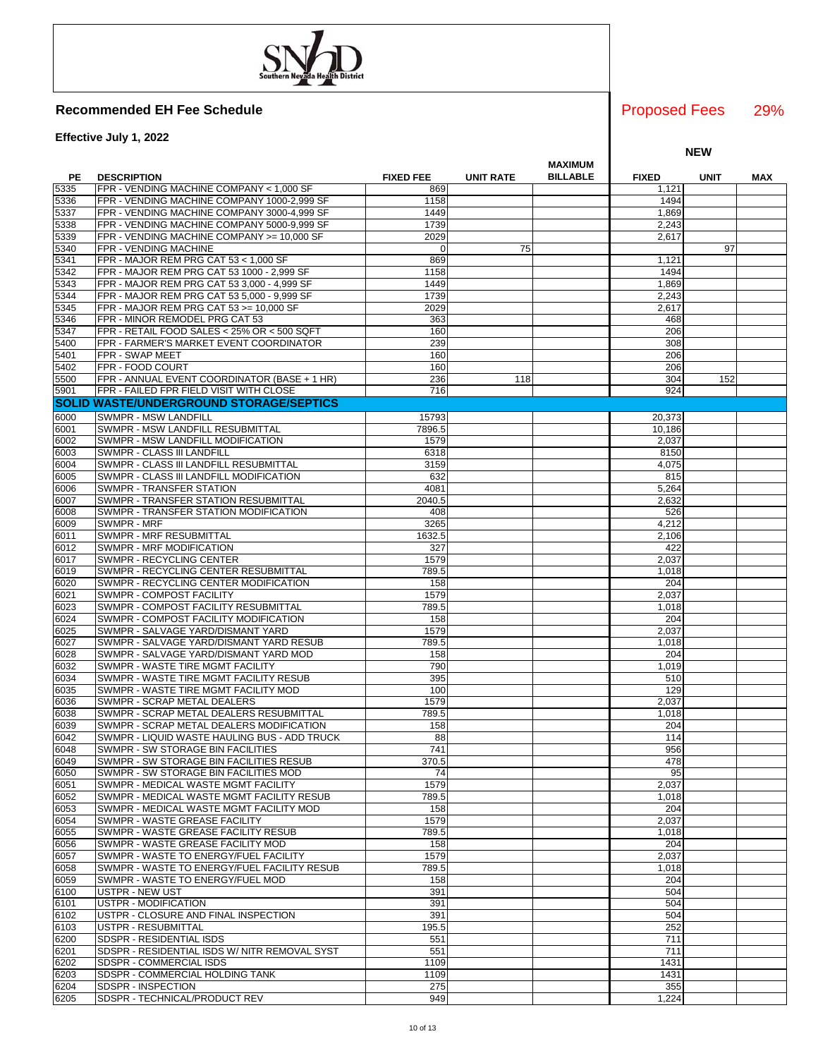**Effective July 1, 2022**

|      |                                                |                  |                  | MAXIMUM         |              |             |     |
|------|------------------------------------------------|------------------|------------------|-----------------|--------------|-------------|-----|
| PE   | <b>DESCRIPTION</b>                             | <b>FIXED FEE</b> | <b>UNIT RATE</b> | <b>BILLABLE</b> | <b>FIXED</b> | <b>UNIT</b> | MAX |
| 5335 | FPR - VENDING MACHINE COMPANY < 1,000 SF       | 869              |                  |                 | 1,121        |             |     |
| 5336 | FPR - VENDING MACHINE COMPANY 1000-2,999 SF    | 1158             |                  |                 | 1494         |             |     |
| 5337 | FPR - VENDING MACHINE COMPANY 3000-4,999 SF    | 1449             |                  |                 | 1,869        |             |     |
|      |                                                | 1739             |                  |                 | 2,243        |             |     |
| 5338 | FPR - VENDING MACHINE COMPANY 5000-9,999 SF    |                  |                  |                 |              |             |     |
| 5339 | FPR - VENDING MACHINE COMPANY >= 10,000 SF     | 2029             |                  |                 | 2,617        |             |     |
| 5340 | FPR - VENDING MACHINE                          | $\Omega$         | 75               |                 |              | 97          |     |
| 5341 | FPR - MAJOR REM PRG CAT 53 < 1,000 SF          | 869              |                  |                 | 1,121        |             |     |
| 5342 | FPR - MAJOR REM PRG CAT 53 1000 - 2,999 SF     | 1158             |                  |                 | 1494         |             |     |
| 5343 | FPR - MAJOR REM PRG CAT 53 3,000 - 4,999 SF    | 1449             |                  |                 | 1,869        |             |     |
| 5344 | FPR - MAJOR REM PRG CAT 53 5,000 - 9,999 SF    | 1739             |                  |                 | 2,243        |             |     |
| 5345 | FPR - MAJOR REM PRG CAT 53 >= 10,000 SF        | 2029             |                  |                 | 2,617        |             |     |
| 5346 | FPR - MINOR REMODEL PRG CAT 53                 | 363              |                  |                 | 468          |             |     |
| 5347 | FPR - RETAIL FOOD SALES < 25% OR < 500 SQFT    | 160              |                  |                 | 206          |             |     |
| 5400 | FPR - FARMER'S MARKET EVENT COORDINATOR        | 239              |                  |                 | 308          |             |     |
| 5401 | FPR - SWAP MEET                                | 160              |                  |                 | 206          |             |     |
| 5402 | FPR - FOOD COURT                               | 160              |                  |                 | 206          |             |     |
| 5500 | FPR - ANNUAL EVENT COORDINATOR (BASE + 1 HR)   | 236              | 118              |                 | 304          | 152         |     |
| 5901 | FPR - FAILED FPR FIELD VISIT WITH CLOSE        | 716              |                  |                 | 924          |             |     |
|      | <b>SOLID WASTE/UNDERGROUND STORAGE/SEPTICS</b> |                  |                  |                 |              |             |     |
|      |                                                |                  |                  |                 |              |             |     |
| 6000 | SWMPR - MSW LANDFILL                           | 15793            |                  |                 | 20,373       |             |     |
| 6001 | SWMPR - MSW LANDFILL RESUBMITTAL               | 7896.5           |                  |                 | 10,186       |             |     |
| 6002 | SWMPR - MSW LANDFILL MODIFICATION              | 1579             |                  |                 | 2,037        |             |     |
| 6003 | SWMPR - CLASS III LANDFILL                     | 6318             |                  |                 | 8150         |             |     |
| 6004 | SWMPR - CLASS III LANDFILL RESUBMITTAL         | 3159             |                  |                 | 4,075        |             |     |
| 6005 | SWMPR - CLASS III LANDFILL MODIFICATION        | 632              |                  |                 | 815          |             |     |
| 6006 | SWMPR - TRANSFER STATION                       | 4081             |                  |                 | 5,264        |             |     |
| 6007 | SWMPR - TRANSFER STATION RESUBMITTAL           | 2040.5           |                  |                 | 2,632        |             |     |
| 6008 | SWMPR - TRANSFER STATION MODIFICATION          | 408              |                  |                 | 526          |             |     |
| 6009 | SWMPR - MRF                                    | 3265             |                  |                 | 4,212        |             |     |
| 6011 | SWMPR - MRF RESUBMITTAL                        | 1632.5           |                  |                 | 2,106        |             |     |
| 6012 | SWMPR - MRF MODIFICATION                       | 327              |                  |                 | 422          |             |     |
| 6017 | SWMPR - RECYCLING CENTER                       | 1579             |                  |                 | 2,037        |             |     |
| 6019 | SWMPR - RECYCLING CENTER RESUBMITTAL           | 789.5            |                  |                 | 1,018        |             |     |
| 6020 | SWMPR - RECYCLING CENTER MODIFICATION          | 158              |                  |                 | 204          |             |     |
| 6021 | SWMPR - COMPOST FACILITY                       | 1579             |                  |                 | 2,037        |             |     |
| 6023 | SWMPR - COMPOST FACILITY RESUBMITTAL           | 789.5            |                  |                 | 1,018        |             |     |
| 6024 | SWMPR - COMPOST FACILITY MODIFICATION          | 158              |                  |                 | 204          |             |     |
| 6025 | SWMPR - SALVAGE YARD/DISMANT YARD              | 1579             |                  |                 | 2,037        |             |     |
| 6027 | SWMPR - SALVAGE YARD/DISMANT YARD RESUB        | 789.5            |                  |                 | 1,018        |             |     |
| 6028 | SWMPR - SALVAGE YARD/DISMANT YARD MOD          | 158              |                  |                 | 204          |             |     |
| 6032 | SWMPR - WASTE TIRE MGMT FACILITY               | 790              |                  |                 | 1,019        |             |     |
| 6034 | SWMPR - WASTE TIRE MGMT FACILITY RESUB         | 395              |                  |                 | 510          |             |     |
| 6035 | SWMPR - WASTE TIRE MGMT FACILITY MOD           | 100              |                  |                 | 129          |             |     |
|      | SWMPR - SCRAP METAL DEALERS                    | 1579             |                  |                 |              |             |     |
| 6036 |                                                |                  |                  |                 | 2,037        |             |     |
| 6038 | SWMPR - SCRAP METAL DEALERS RESUBMITTAL        | 789.5            |                  |                 | 1,018        |             |     |
| 6039 | SWMPR - SCRAP METAL DEALERS MODIFICATION       | 158              |                  |                 | 204          |             |     |
| 6042 | SWMPR - LIQUID WASTE HAULING BUS - ADD TRUCK   | 88               |                  |                 | 114          |             |     |
| 6048 | SWMPR - SW STORAGE BIN FACILITIES              | 741              |                  |                 | 956          |             |     |
| 6049 | SWMPR - SW STORAGE BIN FACILITIES RESUB        | 370.5            |                  |                 | 478          |             |     |
| 6050 | SWMPR - SW STORAGE BIN FACILITIES MOD          | 74               |                  |                 | 95           |             |     |
| 6051 | SWMPR - MEDICAL WASTE MGMT FACILITY            | 1579             |                  |                 | 2,037        |             |     |
| 6052 | SWMPR - MEDICAL WASTE MGMT FACILITY RESUB      | 789.5            |                  |                 | 1,018        |             |     |
| 6053 | SWMPR - MEDICAL WASTE MGMT FACILITY MOD        | 158              |                  |                 | 204          |             |     |
| 6054 | SWMPR - WASTE GREASE FACILITY                  | 1579             |                  |                 | 2,037        |             |     |
| 6055 | SWMPR - WASTE GREASE FACILITY RESUB            | 789.5            |                  |                 | 1,018        |             |     |
| 6056 | SWMPR - WASTE GREASE FACILITY MOD              | 158              |                  |                 | 204          |             |     |
| 6057 | SWMPR - WASTE TO ENERGY/FUEL FACILITY          | 1579             |                  |                 | 2,037        |             |     |
| 6058 | SWMPR - WASTE TO ENERGY/FUEL FACILITY RESUB    | 789.5            |                  |                 | 1,018        |             |     |
| 6059 | SWMPR - WASTE TO ENERGY/FUEL MOD               | 158              |                  |                 | 204          |             |     |
| 6100 | <b>USTPR - NEW UST</b>                         | 391              |                  |                 | 504          |             |     |
| 6101 | USTPR - MODIFICATION                           | 391              |                  |                 | 504          |             |     |
| 6102 | USTPR - CLOSURE AND FINAL INSPECTION           | 391              |                  |                 | 504          |             |     |
| 6103 | USTPR - RESUBMITTAL                            | 195.5            |                  |                 | 252          |             |     |
| 6200 | SDSPR - RESIDENTIAL ISDS                       | 551              |                  |                 | 711          |             |     |
| 6201 | SDSPR - RESIDENTIAL ISDS W/ NITR REMOVAL SYST  | 551              |                  |                 | 711          |             |     |
| 6202 | SDSPR - COMMERCIAL ISDS                        | 1109             |                  |                 | 1431         |             |     |
| 6203 | SDSPR - COMMERCIAL HOLDING TANK                | 1109             |                  |                 | 1431         |             |     |
| 6204 | SDSPR - INSPECTION                             | 275              |                  |                 | 355          |             |     |
| 6205 | SDSPR - TECHNICAL/PRODUCT REV                  | 949              |                  |                 | 1,224        |             |     |
|      |                                                |                  |                  |                 |              |             |     |

### 29% Proposed Fees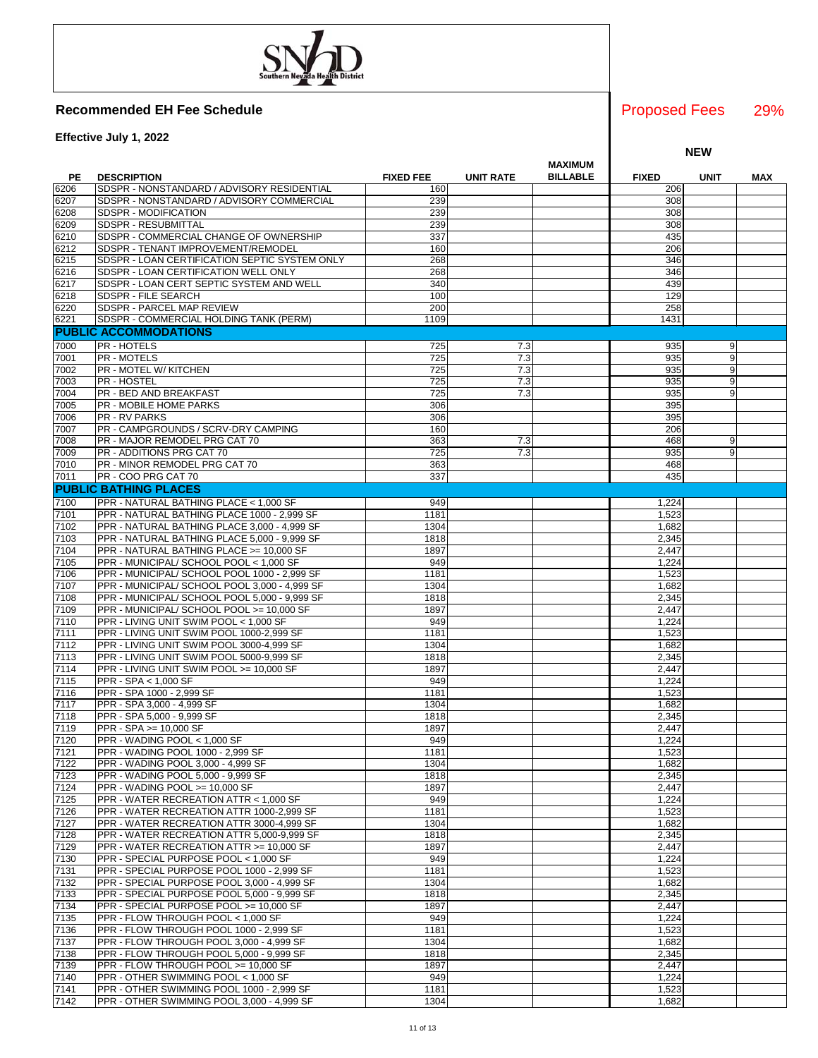**Effective July 1, 2022**

|      |                                               |                  |                  | MAXIMUM         |              |                |     |
|------|-----------------------------------------------|------------------|------------------|-----------------|--------------|----------------|-----|
| PE   | <b>DESCRIPTION</b>                            | <b>FIXED FEE</b> | <b>UNIT RATE</b> | <b>BILLABLE</b> | <b>FIXED</b> | <b>UNIT</b>    | MAX |
| 6206 | SDSPR - NONSTANDARD / ADVISORY RESIDENTIAL    | 160              |                  |                 | 206          |                |     |
| 6207 | SDSPR - NONSTANDARD / ADVISORY COMMERCIAL     | 239              |                  |                 | 308          |                |     |
| 6208 | SDSPR - MODIFICATION                          | 239              |                  |                 | 308          |                |     |
| 6209 | SDSPR - RESUBMITTAL                           | 239              |                  |                 | 308          |                |     |
|      |                                               |                  |                  |                 |              |                |     |
| 6210 | SDSPR - COMMERCIAL CHANGE OF OWNERSHIP        | 337              |                  |                 | 435          |                |     |
| 6212 | SDSPR - TENANT IMPROVEMENT/REMODEL            | 160              |                  |                 | 206          |                |     |
| 6215 | SDSPR - LOAN CERTIFICATION SEPTIC SYSTEM ONLY | 268              |                  |                 | 346          |                |     |
| 6216 | SDSPR - LOAN CERTIFICATION WELL ONLY          | 268              |                  |                 | 346          |                |     |
| 6217 | SDSPR - LOAN CERT SEPTIC SYSTEM AND WELL      | 340              |                  |                 | 439          |                |     |
| 6218 | SDSPR - FILE SEARCH                           | 100              |                  |                 | 129          |                |     |
| 6220 | SDSPR - PARCEL MAP REVIEW                     | 200              |                  |                 | 258          |                |     |
| 6221 | SDSPR - COMMERCIAL HOLDING TANK (PERM)        | 1109             |                  |                 | 1431         |                |     |
|      | <b>PUBLIC ACCOMMODATIONS</b>                  |                  |                  |                 |              |                |     |
|      |                                               |                  |                  |                 |              |                |     |
| 7000 | <b>PR-HOTELS</b>                              | 725              | 7.3              |                 | 935          | 9              |     |
| 7001 | <b>PR - MOTELS</b>                            | 725              | 7.3              |                 | 935          | 9              |     |
| 7002 | PR - MOTEL W/ KITCHEN                         | 725              | 7.3              |                 | 935          | 9              |     |
| 7003 | <b>PR-HOSTEL</b>                              | 725              | 7.3              |                 | 935          | 9              |     |
| 7004 | <b>PR - BED AND BREAKFAST</b>                 | 725              | 7.3              |                 | 935          | 9              |     |
| 7005 | <b>PR - MOBILE HOME PARKS</b>                 | 306              |                  |                 | 395          |                |     |
| 7006 | <b>PR - RV PARKS</b>                          | 306              |                  |                 | 395          |                |     |
| 7007 | PR - CAMPGROUNDS / SCRV-DRY CAMPING           | 160              |                  |                 | 206          |                |     |
| 7008 | PR - MAJOR REMODEL PRG CAT 70                 | 363              | 7.3              |                 | 468          | 9              |     |
|      |                                               |                  |                  |                 |              |                |     |
| 7009 | PR - ADDITIONS PRG CAT 70                     | 725              | 7.3              |                 | 935          | 9 <sup>1</sup> |     |
| 7010 | PR - MINOR REMODEL PRG CAT 70                 | 363              |                  |                 | 468          |                |     |
| 7011 | PR - COO PRG CAT 70                           | 337              |                  |                 | 435          |                |     |
|      | <b>PUBLIC BATHING PLACES</b>                  |                  |                  |                 |              |                |     |
| 7100 | PPR - NATURAL BATHING PLACE < 1,000 SF        | 949              |                  |                 | 1,224        |                |     |
| 7101 | PPR - NATURAL BATHING PLACE 1000 - 2.999 SF   | 1181             |                  |                 | 1,523        |                |     |
| 7102 | PPR - NATURAL BATHING PLACE 3,000 - 4,999 SF  | 1304             |                  |                 | 1,682        |                |     |
| 7103 | PPR - NATURAL BATHING PLACE 5,000 - 9,999 SF  | 1818             |                  |                 | 2,345        |                |     |
|      |                                               |                  |                  |                 |              |                |     |
| 7104 | PPR - NATURAL BATHING PLACE >= 10,000 SF      | 1897             |                  |                 | 2,447        |                |     |
| 7105 | PPR - MUNICIPAL/ SCHOOL POOL < 1,000 SF       | 949              |                  |                 | 1,224        |                |     |
| 7106 | PPR - MUNICIPAL/ SCHOOL POOL 1000 - 2,999 SF  | 1181             |                  |                 | 1,523        |                |     |
| 7107 | PPR - MUNICIPAL/ SCHOOL POOL 3,000 - 4,999 SF | 1304             |                  |                 | 1,682        |                |     |
| 7108 | PPR - MUNICIPAL/ SCHOOL POOL 5,000 - 9,999 SF | 1818             |                  |                 | 2,345        |                |     |
| 7109 | PPR - MUNICIPAL/ SCHOOL POOL >= 10,000 SF     | 1897             |                  |                 | 2,447        |                |     |
| 7110 | PPR - LIVING UNIT SWIM POOL < 1,000 SF        | 949              |                  |                 | 1,224        |                |     |
| 7111 | PPR - LIVING UNIT SWIM POOL 1000-2,999 SF     | 1181             |                  |                 | 1,523        |                |     |
| 7112 | PPR - LIVING UNIT SWIM POOL 3000-4,999 SF     | 1304             |                  |                 | 1,682        |                |     |
| 7113 | PPR - LIVING UNIT SWIM POOL 5000-9,999 SF     | 1818             |                  |                 | 2,345        |                |     |
| 7114 |                                               | 1897             |                  |                 |              |                |     |
|      | PPR - LIVING UNIT SWIM POOL >= 10,000 SF      |                  |                  |                 | 2,447        |                |     |
| 7115 | PPR - SPA < 1,000 SF                          | 949              |                  |                 | 1,224        |                |     |
| 7116 | PPR - SPA 1000 - 2,999 SF                     | 1181             |                  |                 | 1,523        |                |     |
| 7117 | PPR - SPA 3,000 - 4,999 SF                    | 1304             |                  |                 | 1,682        |                |     |
| 7118 | PPR - SPA 5,000 - 9,999 SF                    | 1818             |                  |                 | 2,345        |                |     |
| 7119 | PPR - SPA >= 10,000 SF                        | 1897             |                  |                 | 2,447        |                |     |
| 7120 | PPR - WADING POOL < 1.000 SF                  | 949              |                  |                 | 1,224        |                |     |
| 7121 | PPR - WADING POOL 1000 - 2,999 SF             | 1181             |                  |                 | 1,523        |                |     |
| 7122 | PPR - WADING POOL 3,000 - 4,999 SF            | 1304             |                  |                 | 1,682        |                |     |
| 7123 | PPR - WADING POOL 5,000 - 9,999 SF            | 1818             |                  |                 | 2,345        |                |     |
|      |                                               |                  |                  |                 |              |                |     |
| 7124 | PPR - WADING POOL >= 10,000 SF                | 1897             |                  |                 | 2,447        |                |     |
| 7125 | PPR - WATER RECREATION ATTR < 1,000 SF        | 949              |                  |                 | 1,224        |                |     |
| 7126 | PPR - WATER RECREATION ATTR 1000-2,999 SF     | 1181             |                  |                 | 1,523        |                |     |
| 7127 | PPR - WATER RECREATION ATTR 3000-4.999 SF     | 1304             |                  |                 | 1,682        |                |     |
| 7128 | PPR - WATER RECREATION ATTR 5,000-9,999 SF    | 1818             |                  |                 | 2,345        |                |     |
| 7129 | PPR - WATER RECREATION ATTR >= 10.000 SF      | 1897             |                  |                 | 2,447        |                |     |
| 7130 | PPR - SPECIAL PURPOSE POOL < 1,000 SF         | 949              |                  |                 | 1,224        |                |     |
| 7131 | PPR - SPECIAL PURPOSE POOL 1000 - 2,999 SF    | 1181             |                  |                 | 1,523        |                |     |
| 7132 | PPR - SPECIAL PURPOSE POOL 3,000 - 4,999 SF   | 1304             |                  |                 | 1,682        |                |     |
| 7133 | PPR - SPECIAL PURPOSE POOL 5,000 - 9,999 SF   | 1818             |                  |                 | 2,345        |                |     |
|      |                                               |                  |                  |                 |              |                |     |
| 7134 | PPR - SPECIAL PURPOSE POOL >= 10,000 SF       | 1897             |                  |                 | 2,447        |                |     |
| 7135 | PPR - FLOW THROUGH POOL < 1,000 SF            | 949              |                  |                 | 1,224        |                |     |
| 7136 | PPR - FLOW THROUGH POOL 1000 - 2,999 SF       | 1181             |                  |                 | 1,523        |                |     |
| 7137 | PPR - FLOW THROUGH POOL 3,000 - 4,999 SF      | 1304             |                  |                 | 1,682        |                |     |
| 7138 | PPR - FLOW THROUGH POOL 5,000 - 9,999 SF      | 1818             |                  |                 | 2,345        |                |     |
| 7139 | PPR - FLOW THROUGH POOL >= 10,000 SF          | 1897             |                  |                 | 2,447        |                |     |
| 7140 | PPR - OTHER SWIMMING POOL < 1,000 SF          | 949              |                  |                 | 1,224        |                |     |
| 7141 | PPR - OTHER SWIMMING POOL 1000 - 2,999 SF     | 1181             |                  |                 | 1,523        |                |     |
| 7142 | PPR - OTHER SWIMMING POOL 3,000 - 4,999 SF    | 1304             |                  |                 | 1,682        |                |     |
|      |                                               |                  |                  |                 |              |                |     |

29% Proposed Fees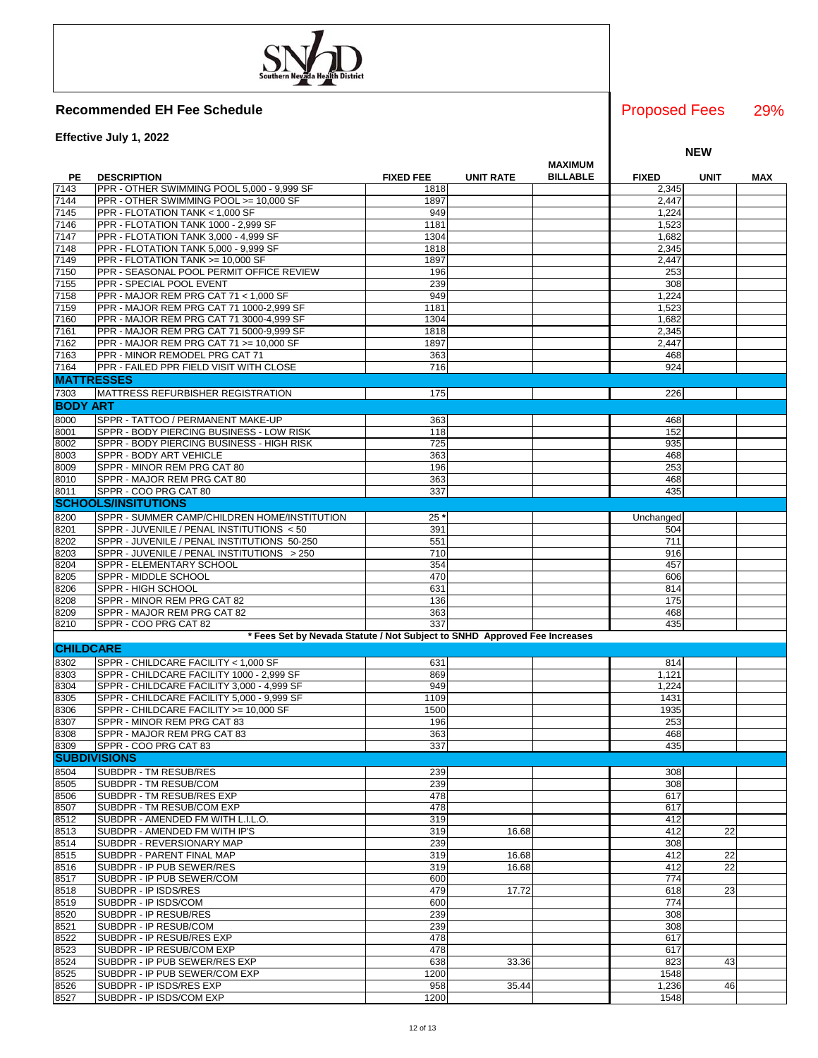**Effective July 1, 2022**

|                  |                                                                           |                  |                  |                                   |              | <b>NEW</b>  |            |
|------------------|---------------------------------------------------------------------------|------------------|------------------|-----------------------------------|--------------|-------------|------------|
| PЕ               | <b>DESCRIPTION</b>                                                        | <b>FIXED FEE</b> | <b>UNIT RATE</b> | <b>MAXIMUM</b><br><b>BILLABLE</b> | <b>FIXED</b> | <b>UNIT</b> | <b>MAX</b> |
| 7143             | PPR - OTHER SWIMMING POOL 5,000 - 9,999 SF                                | 1818             |                  |                                   | 2,345        |             |            |
| 7144             | PPR - OTHER SWIMMING POOL >= 10,000 SF                                    | 1897             |                  |                                   | 2,447        |             |            |
| 7145             | PPR - FLOTATION TANK < 1,000 SF                                           | 949              |                  |                                   | 1,224        |             |            |
| 7146             | PPR - FLOTATION TANK 1000 - 2,999 SF                                      | 1181             |                  |                                   | 1,523        |             |            |
| 7147             | PPR - FLOTATION TANK 3,000 - 4,999 SF                                     | 1304             |                  |                                   | 1,682        |             |            |
| 7148             | PPR - FLOTATION TANK 5,000 - 9,999 SF                                     | 1818             |                  |                                   | 2,345        |             |            |
| 7149             | PPR - FLOTATION TANK >= 10,000 SF                                         | 1897<br>196      |                  |                                   | 2,447<br>253 |             |            |
| 7150<br>7155     | PPR - SEASONAL POOL PERMIT OFFICE REVIEW<br>PPR - SPECIAL POOL EVENT      | 239              |                  |                                   | 308          |             |            |
| 7158             | PPR - MAJOR REM PRG CAT 71 < 1,000 SF                                     | 949              |                  |                                   | 1,224        |             |            |
| 7159             | PPR - MAJOR REM PRG CAT 71 1000-2,999 SF                                  | 1181             |                  |                                   | 1,523        |             |            |
| 7160             | PPR - MAJOR REM PRG CAT 71 3000-4,999 SF                                  | 1304             |                  |                                   | 1,682        |             |            |
| 7161             | PPR - MAJOR REM PRG CAT 71 5000-9,999 SF                                  | 1818             |                  |                                   | 2,345        |             |            |
| 7162             | PPR - MAJOR REM PRG CAT 71 >= 10,000 SF                                   | 1897             |                  |                                   | 2,447        |             |            |
| 7163             | PPR - MINOR REMODEL PRG CAT 71                                            | 363              |                  |                                   | 468          |             |            |
| 7164             | PPR - FAILED PPR FIELD VISIT WITH CLOSE                                   | 716              |                  |                                   | 924          |             |            |
|                  | <b>MATTRESSES</b>                                                         |                  |                  |                                   |              |             |            |
| 7303             | <b>MATTRESS REFURBISHER REGISTRATION</b>                                  | 175              |                  |                                   | 226          |             |            |
| <b>BODY ART</b>  |                                                                           |                  |                  |                                   |              |             |            |
| 8000             | SPPR - TATTOO / PERMANENT MAKE-UP                                         | 363              |                  |                                   | 468          |             |            |
| 8001             | SPPR - BODY PIERCING BUSINESS - LOW RISK                                  | 118              |                  |                                   | 152          |             |            |
| 8002             | SPPR - BODY PIERCING BUSINESS - HIGH RISK                                 | 725              |                  |                                   | 935          |             |            |
| 8003             | SPPR - BODY ART VEHICLE                                                   | 363              |                  |                                   | 468          |             |            |
| 8009             | SPPR - MINOR REM PRG CAT 80                                               | 196              |                  |                                   | 253          |             |            |
| 8010             | SPPR - MAJOR REM PRG CAT 80                                               | 363              |                  |                                   | 468          |             |            |
| 8011             | SPPR - COO PRG CAT 80                                                     | 337              |                  |                                   | 435          |             |            |
|                  | <b>SCHOOLS/INSITUTIONS</b>                                                |                  |                  |                                   |              |             |            |
| 8200             | SPPR - SUMMER CAMP/CHILDREN HOME/INSTITUTION                              | $25^{\circ}$     |                  |                                   | Unchanged    |             |            |
| 8201             | SPPR - JUVENILE / PENAL INSTITUTIONS < 50                                 | 391              |                  |                                   | 504          |             |            |
| 8202             | SPPR - JUVENILE / PENAL INSTITUTIONS 50-250                               | 551              |                  |                                   | 711          |             |            |
| 8203             | SPPR - JUVENILE / PENAL INSTITUTIONS > 250                                | 710              |                  |                                   | 916          |             |            |
| 8204             | SPPR - ELEMENTARY SCHOOL                                                  | 354              |                  |                                   | 457          |             |            |
| 8205             | SPPR - MIDDLE SCHOOL                                                      | 470              |                  |                                   | 606          |             |            |
| 8206             | SPPR - HIGH SCHOOL                                                        | 631              |                  |                                   | 814          |             |            |
| 8208<br>8209     | SPPR - MINOR REM PRG CAT 82<br>SPPR - MAJOR REM PRG CAT 82                | 136<br>363       |                  |                                   | 175<br>468   |             |            |
| 8210             | SPPR - COO PRG CAT 82                                                     | 337              |                  |                                   | 435          |             |            |
|                  | * Fees Set by Nevada Statute / Not Subject to SNHD Approved Fee Increases |                  |                  |                                   |              |             |            |
| <b>CHILDCARE</b> |                                                                           |                  |                  |                                   |              |             |            |
| 8302             | SPPR - CHILDCARE FACILITY < 1,000 SF                                      | 631              |                  |                                   | 814          |             |            |
| 8303             | SPPR - CHILDCARE FACILITY 1000 - 2,999 SF                                 | 869              |                  |                                   | 1,121        |             |            |
| 8304             | SPPR - CHILDCARE FACILITY 3,000 - 4,999 SF                                | 949              |                  |                                   | 1,224        |             |            |
| 8305             | SPPR - CHILDCARE FACILITY 5,000 - 9,999 SF                                | 1109             |                  |                                   | 1431         |             |            |
| 8306             | SPPR - CHILDCARE FACILITY >= 10,000 SF                                    | 1500             |                  |                                   | 1935         |             |            |
| 8307             | SPPR - MINOR REM PRG CAT 83                                               | 196              |                  |                                   | 253          |             |            |
| 8308             | SPPR - MAJOR REM PRG CAT 83                                               | 363              |                  |                                   | 468          |             |            |
| 8309             | ISPPR - COO PRG CAT 83                                                    | 337              |                  |                                   | 435          |             |            |
|                  | <b>SUBDIVISIONS</b>                                                       |                  |                  |                                   |              |             |            |
| 8504             | SUBDPR - TM RESUB/RES                                                     | 239              |                  |                                   | 308          |             |            |
| 8505             | SUBDPR - TM RESUB/COM                                                     | 239              |                  |                                   | 308          |             |            |
| 8506             | SUBDPR - TM RESUB/RES EXP                                                 | 478              |                  |                                   | 617          |             |            |
| 8507             | SUBDPR - TM RESUB/COM EXP                                                 | 478              |                  |                                   | 617          |             |            |
| 8512             | SUBDPR - AMENDED FM WITH L.I.L.O.                                         | 319              |                  |                                   | 412          |             |            |
| 8513             | SUBDPR - AMENDED FM WITH IP'S                                             | 319              | 16.68            |                                   | 412          | 22          |            |
| 8514             | SUBDPR - REVERSIONARY MAP                                                 | 239              |                  |                                   | 308          |             |            |
| 8515             | SUBDPR - PARENT FINAL MAP                                                 | 319              | 16.68            |                                   | 412          | 22          |            |
| 8516             | SUBDPR - IP PUB SEWER/RES                                                 | 319              | 16.68            |                                   | 412          | 22          |            |
| 8517             | SUBDPR - IP PUB SEWER/COM                                                 | 600              |                  |                                   | 774          |             |            |
| 8518             | SUBDPR - IP ISDS/RES                                                      | 479              | 17.72            |                                   | 618          | 23          |            |
| 8519             | SUBDPR - IP ISDS/COM                                                      | 600              |                  |                                   | 774          |             |            |
| 8520             | SUBDPR - IP RESUB/RES                                                     | 239              |                  |                                   | 308          |             |            |
| 8521             | SUBDPR - IP RESUB/COM                                                     | 239              |                  |                                   | 308          |             |            |
| 8522<br>8523     | SUBDPR - IP RESUB/RES EXP<br>SUBDPR - IP RESUB/COM EXP                    | 478<br>478       |                  |                                   | 617<br>617   |             |            |
| 8524             | SUBDPR - IP PUB SEWER/RES EXP                                             | 638              | 33.36            |                                   | 823          | 43          |            |
| 8525             | SUBDPR - IP PUB SEWER/COM EXP                                             | 1200             |                  |                                   | 1548         |             |            |
| 8526             | SUBDPR - IP ISDS/RES EXP                                                  | 958              | 35.44            |                                   | 1,236        | 46          |            |
| 8527             | SUBDPR - IP ISDS/COM EXP                                                  | 1200             |                  |                                   | 1548         |             |            |